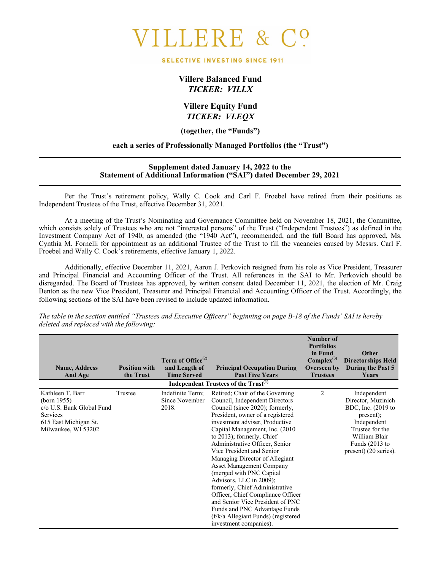# LLERE &

#### SELECTIVE INVESTING SINCE 1911

### **Villere Balanced Fund** *TICKER: VILLX*

#### **Villere Equity Fund** *TICKER: VLEQX*

**(together, the "Funds")**

#### **each a series of Professionally Managed Portfolios (the "Trust")**

#### **Supplement dated January 14, 2022 to the Statement of Additional Information ("SAI") dated December 29, 2021**

Per the Trust's retirement policy, Wally C. Cook and Carl F. Froebel have retired from their positions as Independent Trustees of the Trust, effective December 31, 2021.

At a meeting of the Trust's Nominating and Governance Committee held on November 18, 2021, the Committee, which consists solely of Trustees who are not "interested persons" of the Trust ("Independent Trustees") as defined in the Investment Company Act of 1940, as amended (the "1940 Act"), recommended, and the full Board has approved, Ms. Cynthia M. Fornelli for appointment as an additional Trustee of the Trust to fill the vacancies caused by Messrs. Carl F. Froebel and Wally C. Cook's retirements, effective January 1, 2022.

Additionally, effective December 11, 2021, Aaron J. Perkovich resigned from his role as Vice President, Treasurer and Principal Financial and Accounting Officer of the Trust. All references in the SAI to Mr. Perkovich should be disregarded. The Board of Trustees has approved, by written consent dated December 11, 2021, the election of Mr. Craig Benton as the new Vice President, Treasurer and Principal Financial and Accounting Officer of the Trust. Accordingly, the following sections of the SAI have been revised to include updated information.

| <b>Name, Address</b><br><b>And Age</b>                                                                                             | <b>Position with</b><br>the Trust | Term of Office <sup>(2)</sup><br>and Length of<br><b>Time Served</b> | <b>Principal Occupation During</b><br><b>Past Five Years</b>                                                                                                                                                                                                                                                                                                                                                                                                                                                                                                                                                                                        | Number of<br><b>Portfolios</b><br>in Fund<br>$Complex^{(3)}$<br>Overseen by<br><b>Trustees</b> | Other<br><b>Directorships Held</b><br>During the Past 5<br>Years                                                                                                           |
|------------------------------------------------------------------------------------------------------------------------------------|-----------------------------------|----------------------------------------------------------------------|-----------------------------------------------------------------------------------------------------------------------------------------------------------------------------------------------------------------------------------------------------------------------------------------------------------------------------------------------------------------------------------------------------------------------------------------------------------------------------------------------------------------------------------------------------------------------------------------------------------------------------------------------------|------------------------------------------------------------------------------------------------|----------------------------------------------------------------------------------------------------------------------------------------------------------------------------|
|                                                                                                                                    |                                   |                                                                      | Independent Trustees of the Trust <sup>(1)</sup>                                                                                                                                                                                                                                                                                                                                                                                                                                                                                                                                                                                                    |                                                                                                |                                                                                                                                                                            |
| Kathleen T. Barr<br>(born $1955$ )<br>c/o U.S. Bank Global Fund<br><b>Services</b><br>615 East Michigan St.<br>Milwaukee, WI 53202 | Trustee                           | Indefinite Term;<br>Since November<br>2018.                          | Retired: Chair of the Governing<br>Council, Independent Directors<br>Council (since 2020); formerly,<br>President, owner of a registered<br>investment adviser, Productive<br>Capital Management, Inc. (2010)<br>to 2013); formerly, Chief<br>Administrative Officer, Senior<br>Vice President and Senior<br>Managing Director of Allegiant<br><b>Asset Management Company</b><br>(merged with PNC Capital)<br>Advisors, LLC in 2009);<br>formerly, Chief Administrative<br>Officer, Chief Compliance Officer<br>and Senior Vice President of PNC<br>Funds and PNC Advantage Funds<br>(f/k/a Allegiant Funds) (registered<br>investment companies). | $\overline{2}$                                                                                 | Independent<br>Director, Muzinich<br>BDC, Inc. $(2019)$ to<br>$present)$ ;<br>Independent<br>Trustee for the<br>William Blair<br>Funds $(2013$ to<br>present) (20 series). |

*The table in the section entitled "Trustees and Executive Officers" beginning on page B-18 of the Funds' SAI is hereby deleted and replaced with the following:*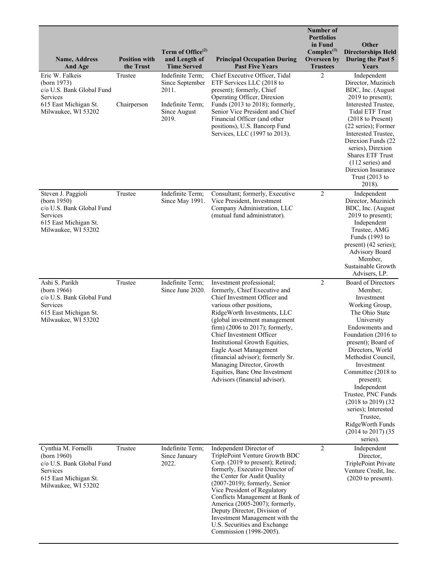| <b>Name, Address</b><br>And Age                                                                                             | <b>Position with</b><br>the Trust | Term of Office <sup>(2)</sup><br>and Length of<br><b>Time Served</b>                      | <b>Principal Occupation During</b><br><b>Past Five Years</b>                                                                                                                                                                                                                                                                                                                                                                                         | Number of<br><b>Portfolios</b><br>in Fund<br>$Complex^{(3)}$<br>Overseen by<br><b>Trustees</b> | Other<br><b>Directorships Held</b><br>During the Past 5<br>Years                                                                                                                                                                                                                                                                                                                                                             |
|-----------------------------------------------------------------------------------------------------------------------------|-----------------------------------|-------------------------------------------------------------------------------------------|------------------------------------------------------------------------------------------------------------------------------------------------------------------------------------------------------------------------------------------------------------------------------------------------------------------------------------------------------------------------------------------------------------------------------------------------------|------------------------------------------------------------------------------------------------|------------------------------------------------------------------------------------------------------------------------------------------------------------------------------------------------------------------------------------------------------------------------------------------------------------------------------------------------------------------------------------------------------------------------------|
| Eric W. Falkeis<br>(born 1973)<br>c/o U.S. Bank Global Fund<br>Services<br>615 East Michigan St.<br>Milwaukee, WI 53202     | Trustee<br>Chairperson            | Indefinite Term;<br>Since September<br>2011.<br>Indefinite Term;<br>Since August<br>2019. | Chief Executive Officer, Tidal<br>ETF Services LLC (2018 to<br>present); formerly, Chief<br>Operating Officer, Direxion<br>Funds (2013 to 2018); formerly,<br>Senior Vice President and Chief<br>Financial Officer (and other<br>positions), U.S. Bancorp Fund<br>Services, LLC (1997 to 2013).                                                                                                                                                      | $\overline{2}$                                                                                 | Independent<br>Director, Muzinich<br>BDC, Inc. (August<br>$2019$ to present);<br>Interested Trustee,<br><b>Tidal ETF Trust</b><br>$(2018 \text{ to Present})$<br>(22 series); Former<br>Interested Trustee,<br>Direxion Funds (22<br>series), Direxion<br><b>Shares ETF Trust</b><br>$(112$ series) and<br>Direxion Insurance<br>Trust $(2013$ to<br>2018).                                                                  |
| Steven J. Paggioli<br>(born 1950)<br>c/o U.S. Bank Global Fund<br>Services<br>615 East Michigan St.<br>Milwaukee, WI 53202  | Trustee                           | Indefinite Term;<br>Since May 1991.                                                       | Consultant; formerly, Executive<br>Vice President, Investment<br>Company Administration, LLC<br>(mutual fund administrator).                                                                                                                                                                                                                                                                                                                         | $\overline{2}$                                                                                 | Independent<br>Director, Muzinich<br>BDC, Inc. (August)<br>2019 to present);<br>Independent<br>Trustee, AMG<br>Funds (1993 to<br>present) (42 series);<br><b>Advisory Board</b><br>Member,<br>Sustainable Growth<br>Advisers, LP.                                                                                                                                                                                            |
| Ashi S. Parikh<br>(born 1966)<br>c/o U.S. Bank Global Fund<br>Services<br>615 East Michigan St.<br>Milwaukee, WI 53202      | Trustee                           | Indefinite Term;<br>Since June 2020.                                                      | Investment professional;<br>formerly, Chief Executive and<br>Chief Investment Officer and<br>various other positions,<br>RidgeWorth Investments, LLC<br>(global investment management<br>firm) (2006 to 2017); formerly,<br>Chief Investment Officer<br>Institutional Growth Equities,<br>Eagle Asset Management<br>(financial advisor); formerly Sr.<br>Managing Director, Growth<br>Equities, Banc One Investment<br>Advisors (financial advisor). | $\overline{2}$                                                                                 | Board of Directors<br>Member,<br>Investment<br>Working Group,<br>The Ohio State<br>University<br>Endowments and<br>Foundation (2016 to<br>present); Board of<br>Directors, World<br>Methodist Council,<br>Investment<br>Committee (2018 to<br>present);<br>Independent<br>Trustee, PNC Funds<br>$(2018 \text{ to } 2019) (32$<br>series); Interested<br>Trustee,<br>RidgeWorth Funds<br>$(2014$ to $2017)$ $(35$<br>series). |
| Cynthia M. Fornelli<br>(born 1960)<br>c/o U.S. Bank Global Fund<br>Services<br>615 East Michigan St.<br>Milwaukee, WI 53202 | Trustee                           | Indefinite Term;<br>Since January<br>2022.                                                | Independent Director of<br>TriplePoint Venture Growth BDC<br>Corp. (2019 to present); Retired;<br>formerly, Executive Director of<br>the Center for Audit Quality<br>$(2007-2019)$ ; formerly, Senior<br>Vice President of Regulatory<br>Conflicts Management at Bank of<br>America (2005-2007); formerly,<br>Deputy Director, Division of<br>Investment Management with the<br>U.S. Securities and Exchange<br>Commission (1998-2005).              | $\overline{2}$                                                                                 | Independent<br>Director,<br>TriplePoint Private<br>Venture Credit, Inc.<br>$(2020$ to present).                                                                                                                                                                                                                                                                                                                              |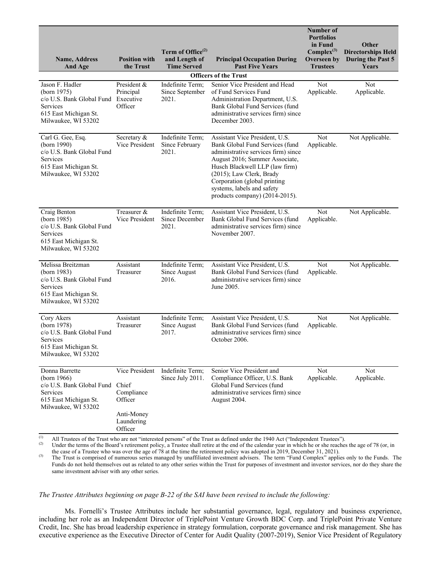| <b>Name, Address</b><br>And Age                                                                                                   | <b>Position with</b><br>the Trust                                                       | Term of Office <sup>(2)</sup><br>and Length of<br><b>Time Served</b> | <b>Principal Occupation During</b><br><b>Past Five Years</b>                                                                                                                                                                                                                                             | Number of<br><b>Portfolios</b><br>in Fund<br>$Complex^{(3)}$<br>Overseen by<br><b>Trustees</b> | Other<br><b>Directorships Held</b><br>During the Past 5<br>Years |
|-----------------------------------------------------------------------------------------------------------------------------------|-----------------------------------------------------------------------------------------|----------------------------------------------------------------------|----------------------------------------------------------------------------------------------------------------------------------------------------------------------------------------------------------------------------------------------------------------------------------------------------------|------------------------------------------------------------------------------------------------|------------------------------------------------------------------|
|                                                                                                                                   |                                                                                         |                                                                      | <b>Officers of the Trust</b>                                                                                                                                                                                                                                                                             |                                                                                                |                                                                  |
| Jason F. Hadler<br>(born 1975)<br>c/o U.S. Bank Global Fund Executive<br>Services<br>615 East Michigan St.<br>Milwaukee, WI 53202 | President &<br>Principal<br>Officer                                                     | Indefinite Term;<br>Since September<br>2021.                         | Senior Vice President and Head<br>of Fund Services Fund<br>Administration Department, U.S.<br>Bank Global Fund Services (fund<br>administrative services firm) since<br>December 2003.                                                                                                                   | Not<br>Applicable.                                                                             | <b>Not</b><br>Applicable.                                        |
| Carl G. Gee, Esq.<br>(born 1990)<br>c/o U.S. Bank Global Fund<br>Services<br>615 East Michigan St.<br>Milwaukee, WI 53202         | Secretary &<br>Vice President                                                           | Indefinite Term;<br>Since February<br>2021.                          | Assistant Vice President, U.S.<br>Bank Global Fund Services (fund<br>administrative services firm) since<br>August 2016; Summer Associate,<br>Husch Blackwell LLP (law firm)<br>(2015); Law Clerk, Brady<br>Corporation (global printing<br>systems, labels and safety<br>products company) (2014-2015). | Not<br>Applicable.                                                                             | Not Applicable.                                                  |
| Craig Benton<br>(born 1985)<br>c/o U.S. Bank Global Fund<br>Services<br>615 East Michigan St.<br>Milwaukee, WI 53202              | Treasurer &<br>Vice President                                                           | Indefinite Term;<br>Since December<br>2021.                          | Assistant Vice President, U.S.<br>Bank Global Fund Services (fund<br>administrative services firm) since<br>November 2007.                                                                                                                                                                               | Not<br>Applicable.                                                                             | Not Applicable.                                                  |
| Melissa Breitzman<br>(born 1983)<br>c/o U.S. Bank Global Fund<br>Services<br>615 East Michigan St.<br>Milwaukee, WI 53202         | Assistant<br>Treasurer                                                                  | Indefinite Term;<br>Since August<br>2016.                            | Assistant Vice President, U.S.<br>Bank Global Fund Services (fund<br>administrative services firm) since<br>June 2005.                                                                                                                                                                                   | Not<br>Applicable.                                                                             | Not Applicable.                                                  |
| Cory Akers<br>(born 1978)<br>c/o U.S. Bank Global Fund<br>Services<br>615 East Michigan St.<br>Milwaukee, WI 53202                | Assistant<br>Treasurer                                                                  | Indefinite Term;<br>Since August<br>2017.                            | Assistant Vice President, U.S.<br>Bank Global Fund Services (fund<br>administrative services firm) since<br>October 2006.                                                                                                                                                                                | Not<br>Applicable.                                                                             | Not Applicable.                                                  |
| Donna Barrette<br>(born 1966)<br>c/o U.S. Bank Global Fund<br>Services<br>615 East Michigan St.<br>Milwaukee, WI 53202            | Vice President<br>Chief<br>Compliance<br>Officer<br>Anti-Money<br>Laundering<br>Officer | Indefinite Term;<br>Since July 2011.                                 | Senior Vice President and<br>Compliance Officer, U.S. Bank<br>Global Fund Services (fund<br>administrative services firm) since<br>August 2004.                                                                                                                                                          | Not<br>Applicable.                                                                             | Not<br>Applicable.                                               |

(1) All Trustees of the Trust who are not "interested persons" of the Trust as defined under the 1940 Act ("Independent Trustees").<br>
Under the terms of the Board's rationmant policy, a Trustee shall ratio at the and of th

Under the terms of the Board's retirement policy, a Trustee shall retire at the end of the calendar year in which he or she reaches the age of 78 (or, in the case of a Trustee who was over the age of 78 at the time the retirement policy was adopted in 2019, December 31, 2021).

(3) The Trust is comprised of numerous series managed by unaffiliated investment advisers. The term "Fund Complex" applies only to the Funds. The Funds do not hold themselves out as related to any other series within the Trust for purposes of investment and investor services, nor do they share the same investment adviser with any other series.

#### *The Trustee Attributes beginning on page B-22 of the SAI have been revised to include the following:*

Ms. Fornelli's Trustee Attributes include her substantial governance, legal, regulatory and business experience, including her role as an Independent Director of TriplePoint Venture Growth BDC Corp. and TriplePoint Private Venture Credit, Inc. She has broad leadership experience in strategy formulation, corporate governance and risk management. She has executive experience as the Executive Director of Center for Audit Quality (2007-2019), Senior Vice President of Regulatory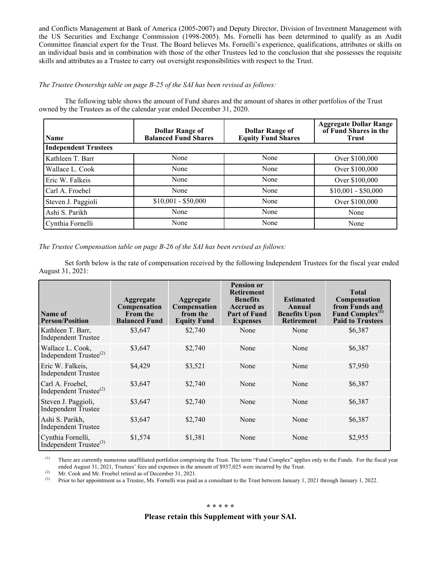and Conflicts Management at Bank of America (2005-2007) and Deputy Director, Division of Investment Management with the US Securities and Exchange Commission (1998-2005). Ms. Fornelli has been determined to qualify as an Audit Committee financial expert for the Trust. The Board believes Ms. Fornelli's experience, qualifications, attributes or skills on an individual basis and in combination with those of the other Trustees led to the conclusion that she possesses the requisite skills and attributes as a Trustee to carry out oversight responsibilities with respect to the Trust.

#### *The Trustee Ownership table on page B-25 of the SAI has been revised as follows:*

The following table shows the amount of Fund shares and the amount of shares in other portfolios of the Trust owned by the Trustees as of the calendar year ended December 31, 2020.

| <b>Name</b>                 | <b>Dollar Range of</b><br><b>Balanced Fund Shares</b> | <b>Dollar Range of</b><br><b>Equity Fund Shares</b> | <b>Aggregate Dollar Range</b><br>of Fund Shares in the<br><b>Trust</b> |
|-----------------------------|-------------------------------------------------------|-----------------------------------------------------|------------------------------------------------------------------------|
| <b>Independent Trustees</b> |                                                       |                                                     |                                                                        |
| Kathleen T. Barr            | None                                                  | None                                                | Over \$100,000                                                         |
| Wallace L. Cook             | None                                                  | None                                                | Over \$100,000                                                         |
| Eric W. Falkeis             | None                                                  | None                                                | Over \$100,000                                                         |
| Carl A. Froebel             | None                                                  | None                                                | $$10,001 - $50,000$                                                    |
| Steven J. Paggioli          | $$10,001 - $50,000$                                   | None                                                | Over \$100,000                                                         |
| Ashi S. Parikh              | None                                                  | None                                                | None                                                                   |
| Cynthia Fornelli            | None                                                  | None                                                | None                                                                   |

*The Trustee Compensation table on page B-26 of the SAI has been revised as follows:*

Set forth below is the rate of compensation received by the following Independent Trustees for the fiscal year ended August 31, 2021:

| Name of<br><b>Person/Position</b>                       | Aggregate<br>Compensation<br><b>From the</b><br><b>Balanced Fund</b> | <b>Aggregate</b><br>Compensation<br>from the<br><b>Equity Fund</b> | <b>Pension or</b><br><b>Retirement</b><br><b>Benefits</b><br><b>Accrued as</b><br><b>Part of Fund</b><br><b>Expenses</b> | <b>Estimated</b><br>Annual<br><b>Benefits Upon</b><br><b>Retirement</b> | <b>Total</b><br>Compensation<br>from Funds and<br>Fund Complex <sup>(1)</sup><br><b>Paid to Trustees</b> |
|---------------------------------------------------------|----------------------------------------------------------------------|--------------------------------------------------------------------|--------------------------------------------------------------------------------------------------------------------------|-------------------------------------------------------------------------|----------------------------------------------------------------------------------------------------------|
| Kathleen T. Barr,<br><b>Independent Trustee</b>         | \$3,647                                                              | \$2,740                                                            | None                                                                                                                     | None                                                                    | \$6,387                                                                                                  |
| Wallace L. Cook,<br>Independent Trustee <sup>(2)</sup>  | \$3,647                                                              | \$2,740                                                            | None                                                                                                                     | None                                                                    | \$6,387                                                                                                  |
| Eric W. Falkeis,<br><b>Independent Trustee</b>          | \$4,429                                                              | \$3,521                                                            | None                                                                                                                     | None                                                                    | \$7,950                                                                                                  |
| Carl A. Froebel,<br>Independent Trustee <sup>(2)</sup>  | \$3,647                                                              | \$2,740                                                            | None                                                                                                                     | None                                                                    | \$6,387                                                                                                  |
| Steven J. Paggioli,<br><b>Independent Trustee</b>       | \$3,647                                                              | \$2,740                                                            | None                                                                                                                     | None                                                                    | \$6,387                                                                                                  |
| Ashi S. Parikh,<br><b>Independent Trustee</b>           | \$3,647                                                              | \$2,740                                                            | None                                                                                                                     | None                                                                    | \$6,387                                                                                                  |
| Cynthia Fornelli,<br>Independent Trustee <sup>(3)</sup> | \$1,574                                                              | \$1,381                                                            | None                                                                                                                     | None                                                                    | \$2,955                                                                                                  |

(1) There are currently numerous unaffiliated portfolios comprising the Trust. The term "Fund Complex" applies only to the Funds. For the fiscal year ended August 31, 2021, Trustees' fees and expenses in the amount of \$937,025 were incurred by the Trust.

(2) Mr. Cook and Mr. Froebel retired as of December 31, 2021.<br>
Prior to her appointment as a Trustee Ms. Fornelli was paid

(3) Prior to her appointment as a Trustee, Ms. Fornelli was paid as a consultant to the Trust between January 1, 2021 through January 1, 2022.

#### **\* \* \* \* \***

#### **Please retain this Supplement with your SAI.**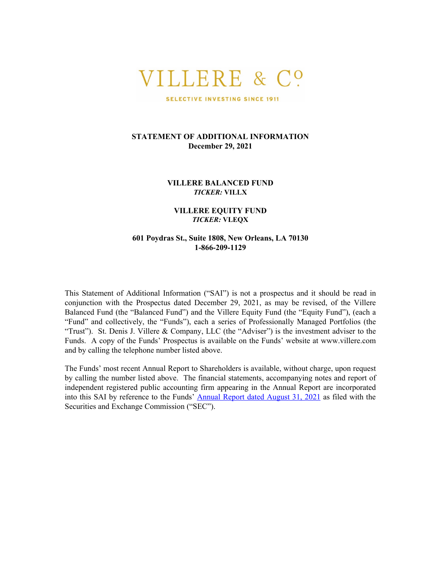# VILLERE & CO

SELECTIVE INVESTING SINCE 1911

#### **STATEMENT OF ADDITIONAL INFORMATION December 29, 2021**

**VILLERE BALANCED FUND** *TICKER:* **VILLX**

#### **VILLERE EQUITY FUND** *TICKER:* **VLEQX**

#### **601 Poydras St., Suite 1808, New Orleans, LA 70130 1-866-209-1129**

This Statement of Additional Information ("SAI") is not a prospectus and it should be read in conjunction with the Prospectus dated December 29, 2021, as may be revised, of the Villere Balanced Fund (the "Balanced Fund") and the Villere Equity Fund (the "Equity Fund"), (each a "Fund" and collectively, the "Funds"), each a series of Professionally Managed Portfolios (the "Trust"). St. Denis J. Villere & Company, LLC (the "Adviser") is the investment adviser to the Funds. A copy of the Funds' Prospectus is available on the Funds' website at www.villere.com and by calling the telephone number listed above.

The Funds' most recent Annual Report to Shareholders is available, without charge, upon request by calling the number listed above. The financial statements, accompanying notes and report of independent registered public accounting firm appearing in the Annual Report are incorporated into this SAI by reference to the Funds' [Annual Report dated August 31, 2021](https://www.sec.gov/Archives/edgar/data/811030/000089853121000498/villere-ncsra.htm) as filed with the Securities and Exchange Commission ("SEC").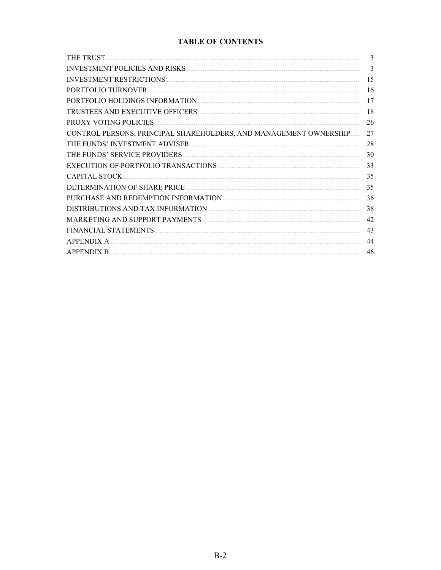## **TABLE OF CONTENTS**

| THE TRUST                                                         | 3  |
|-------------------------------------------------------------------|----|
|                                                                   | 3  |
| <b>INVESTMENT RESTRICTIONS</b>                                    | 15 |
| PORTFOLIO TURNOVER                                                | 16 |
|                                                                   | 17 |
| TRUSTEES AND EXECUTIVE OFFICERS.                                  | 18 |
| <b>PROXY VOTING POLICIES</b>                                      | 26 |
| CONTROL PERSONS, PRINCIPAL SHAREHOLDERS, AND MANAGEMENT OWNERSHIP | 27 |
| THE FUNDS' INVESTMENT ADVISER                                     | 28 |
| THE FUNDS' SERVICE PROVIDERS                                      | 30 |
|                                                                   | 33 |
| <b>CAPITAL STOCK</b>                                              | 35 |
|                                                                   | 35 |
|                                                                   | 36 |
|                                                                   | 38 |
|                                                                   | 42 |
| FINANCIAL STATEMENTS                                              | 43 |
| <b>APPENDIX A</b>                                                 | 44 |
| <b>APPENDIX B</b>                                                 | 46 |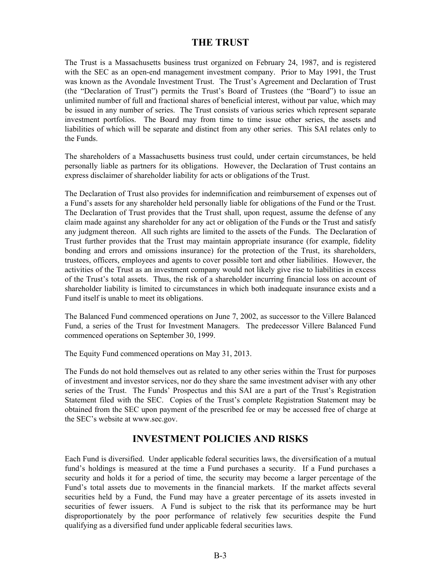## **THE TRUST**

<span id="page-6-0"></span>The Trust is a Massachusetts business trust organized on February 24, 1987, and is registered with the SEC as an open-end management investment company. Prior to May 1991, the Trust was known as the Avondale Investment Trust. The Trust's Agreement and Declaration of Trust (the "Declaration of Trust") permits the Trust's Board of Trustees (the "Board") to issue an unlimited number of full and fractional shares of beneficial interest, without par value, which may be issued in any number of series. The Trust consists of various series which represent separate investment portfolios. The Board may from time to time issue other series, the assets and liabilities of which will be separate and distinct from any other series. This SAI relates only to the Funds.

The shareholders of a Massachusetts business trust could, under certain circumstances, be held personally liable as partners for its obligations. However, the Declaration of Trust contains an express disclaimer of shareholder liability for acts or obligations of the Trust.

The Declaration of Trust also provides for indemnification and reimbursement of expenses out of a Fund's assets for any shareholder held personally liable for obligations of the Fund or the Trust. The Declaration of Trust provides that the Trust shall, upon request, assume the defense of any claim made against any shareholder for any act or obligation of the Funds or the Trust and satisfy any judgment thereon. All such rights are limited to the assets of the Funds. The Declaration of Trust further provides that the Trust may maintain appropriate insurance (for example, fidelity bonding and errors and omissions insurance) for the protection of the Trust, its shareholders, trustees, officers, employees and agents to cover possible tort and other liabilities. However, the activities of the Trust as an investment company would not likely give rise to liabilities in excess of the Trust's total assets. Thus, the risk of a shareholder incurring financial loss on account of shareholder liability is limited to circumstances in which both inadequate insurance exists and a Fund itself is unable to meet its obligations.

The Balanced Fund commenced operations on June 7, 2002, as successor to the Villere Balanced Fund, a series of the Trust for Investment Managers. The predecessor Villere Balanced Fund commenced operations on September 30, 1999.

The Equity Fund commenced operations on May 31, 2013.

The Funds do not hold themselves out as related to any other series within the Trust for purposes of investment and investor services, nor do they share the same investment adviser with any other series of the Trust. The Funds' Prospectus and this SAI are a part of the Trust's Registration Statement filed with the SEC. Copies of the Trust's complete Registration Statement may be obtained from the SEC upon payment of the prescribed fee or may be accessed free of charge at the SEC's website at www.sec.gov.

## **INVESTMENT POLICIES AND RISKS**

Each Fund is diversified. Under applicable federal securities laws, the diversification of a mutual fund's holdings is measured at the time a Fund purchases a security. If a Fund purchases a security and holds it for a period of time, the security may become a larger percentage of the Fund's total assets due to movements in the financial markets. If the market affects several securities held by a Fund, the Fund may have a greater percentage of its assets invested in securities of fewer issuers. A Fund is subject to the risk that its performance may be hurt disproportionately by the poor performance of relatively few securities despite the Fund qualifying as a diversified fund under applicable federal securities laws.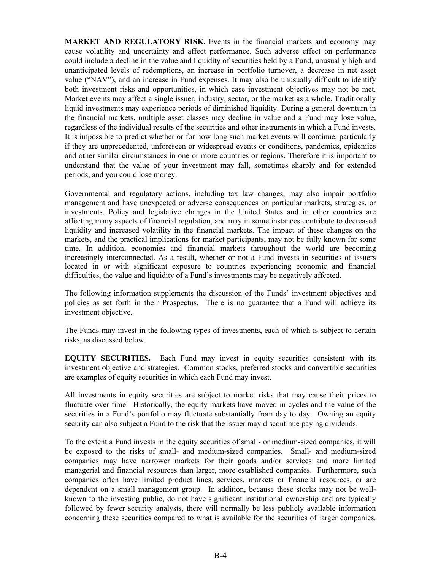**MARKET AND REGULATORY RISK.** Events in the financial markets and economy may cause volatility and uncertainty and affect performance. Such adverse effect on performance could include a decline in the value and liquidity of securities held by a Fund, unusually high and unanticipated levels of redemptions, an increase in portfolio turnover, a decrease in net asset value ("NAV"), and an increase in Fund expenses. It may also be unusually difficult to identify both investment risks and opportunities, in which case investment objectives may not be met. Market events may affect a single issuer, industry, sector, or the market as a whole. Traditionally liquid investments may experience periods of diminished liquidity. During a general downturn in the financial markets, multiple asset classes may decline in value and a Fund may lose value, regardless of the individual results of the securities and other instruments in which a Fund invests. It is impossible to predict whether or for how long such market events will continue, particularly if they are unprecedented, unforeseen or widespread events or conditions, pandemics, epidemics and other similar circumstances in one or more countries or regions. Therefore it is important to understand that the value of your investment may fall, sometimes sharply and for extended periods, and you could lose money.

Governmental and regulatory actions, including tax law changes, may also impair portfolio management and have unexpected or adverse consequences on particular markets, strategies, or investments. Policy and legislative changes in the United States and in other countries are affecting many aspects of financial regulation, and may in some instances contribute to decreased liquidity and increased volatility in the financial markets. The impact of these changes on the markets, and the practical implications for market participants, may not be fully known for some time. In addition, economies and financial markets throughout the world are becoming increasingly interconnected. As a result, whether or not a Fund invests in securities of issuers located in or with significant exposure to countries experiencing economic and financial difficulties, the value and liquidity of a Fund's investments may be negatively affected.

The following information supplements the discussion of the Funds' investment objectives and policies as set forth in their Prospectus. There is no guarantee that a Fund will achieve its investment objective.

The Funds may invest in the following types of investments, each of which is subject to certain risks, as discussed below.

**EQUITY SECURITIES.** Each Fund may invest in equity securities consistent with its investment objective and strategies. Common stocks, preferred stocks and convertible securities are examples of equity securities in which each Fund may invest.

All investments in equity securities are subject to market risks that may cause their prices to fluctuate over time. Historically, the equity markets have moved in cycles and the value of the securities in a Fund's portfolio may fluctuate substantially from day to day. Owning an equity security can also subject a Fund to the risk that the issuer may discontinue paying dividends.

To the extent a Fund invests in the equity securities of small- or medium-sized companies, it will be exposed to the risks of small- and medium-sized companies. Small- and medium-sized companies may have narrower markets for their goods and/or services and more limited managerial and financial resources than larger, more established companies. Furthermore, such companies often have limited product lines, services, markets or financial resources, or are dependent on a small management group. In addition, because these stocks may not be wellknown to the investing public, do not have significant institutional ownership and are typically followed by fewer security analysts, there will normally be less publicly available information concerning these securities compared to what is available for the securities of larger companies.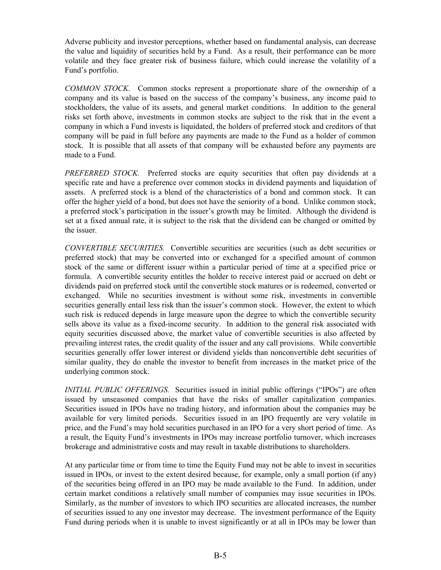Adverse publicity and investor perceptions, whether based on fundamental analysis, can decrease the value and liquidity of securities held by a Fund. As a result, their performance can be more volatile and they face greater risk of business failure, which could increase the volatility of a Fund's portfolio.

*COMMON STOCK.* Common stocks represent a proportionate share of the ownership of a company and its value is based on the success of the company's business, any income paid to stockholders, the value of its assets, and general market conditions. In addition to the general risks set forth above, investments in common stocks are subject to the risk that in the event a company in which a Fund invests is liquidated, the holders of preferred stock and creditors of that company will be paid in full before any payments are made to the Fund as a holder of common stock. It is possible that all assets of that company will be exhausted before any payments are made to a Fund.

*PREFERRED STOCK.* Preferred stocks are equity securities that often pay dividends at a specific rate and have a preference over common stocks in dividend payments and liquidation of assets. A preferred stock is a blend of the characteristics of a bond and common stock. It can offer the higher yield of a bond, but does not have the seniority of a bond. Unlike common stock, a preferred stock's participation in the issuer's growth may be limited. Although the dividend is set at a fixed annual rate, it is subject to the risk that the dividend can be changed or omitted by the issuer.

*CONVERTIBLE SECURITIES.* Convertible securities are securities (such as debt securities or preferred stock) that may be converted into or exchanged for a specified amount of common stock of the same or different issuer within a particular period of time at a specified price or formula. A convertible security entitles the holder to receive interest paid or accrued on debt or dividends paid on preferred stock until the convertible stock matures or is redeemed, converted or exchanged. While no securities investment is without some risk, investments in convertible securities generally entail less risk than the issuer's common stock. However, the extent to which such risk is reduced depends in large measure upon the degree to which the convertible security sells above its value as a fixed-income security. In addition to the general risk associated with equity securities discussed above, the market value of convertible securities is also affected by prevailing interest rates, the credit quality of the issuer and any call provisions. While convertible securities generally offer lower interest or dividend yields than nonconvertible debt securities of similar quality, they do enable the investor to benefit from increases in the market price of the underlying common stock.

*INITIAL PUBLIC OFFERINGS.* Securities issued in initial public offerings ("IPOs") are often issued by unseasoned companies that have the risks of smaller capitalization companies. Securities issued in IPOs have no trading history, and information about the companies may be available for very limited periods. Securities issued in an IPO frequently are very volatile in price, and the Fund's may hold securities purchased in an IPO for a very short period of time. As a result, the Equity Fund's investments in IPOs may increase portfolio turnover, which increases brokerage and administrative costs and may result in taxable distributions to shareholders.

At any particular time or from time to time the Equity Fund may not be able to invest in securities issued in IPOs, or invest to the extent desired because, for example, only a small portion (if any) of the securities being offered in an IPO may be made available to the Fund. In addition, under certain market conditions a relatively small number of companies may issue securities in IPOs. Similarly, as the number of investors to which IPO securities are allocated increases, the number of securities issued to any one investor may decrease. The investment performance of the Equity Fund during periods when it is unable to invest significantly or at all in IPOs may be lower than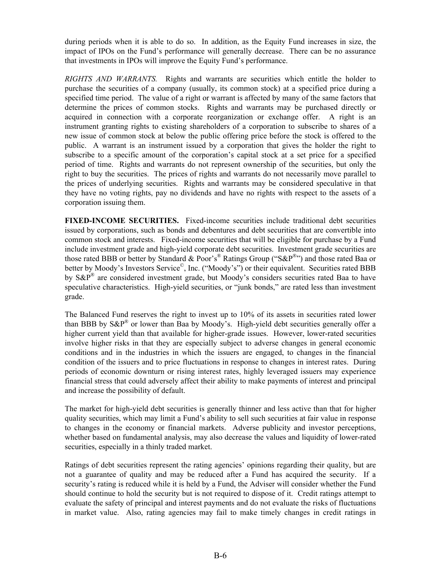during periods when it is able to do so. In addition, as the Equity Fund increases in size, the impact of IPOs on the Fund's performance will generally decrease. There can be no assurance that investments in IPOs will improve the Equity Fund's performance.

*RIGHTS AND WARRANTS.* Rights and warrants are securities which entitle the holder to purchase the securities of a company (usually, its common stock) at a specified price during a specified time period. The value of a right or warrant is affected by many of the same factors that determine the prices of common stocks. Rights and warrants may be purchased directly or acquired in connection with a corporate reorganization or exchange offer. A right is an instrument granting rights to existing shareholders of a corporation to subscribe to shares of a new issue of common stock at below the public offering price before the stock is offered to the public. A warrant is an instrument issued by a corporation that gives the holder the right to subscribe to a specific amount of the corporation's capital stock at a set price for a specified period of time. Rights and warrants do not represent ownership of the securities, but only the right to buy the securities. The prices of rights and warrants do not necessarily move parallel to the prices of underlying securities. Rights and warrants may be considered speculative in that they have no voting rights, pay no dividends and have no rights with respect to the assets of a corporation issuing them.

**FIXED-INCOME SECURITIES.** Fixed-income securities include traditional debt securities issued by corporations, such as bonds and debentures and debt securities that are convertible into common stock and interests. Fixed-income securities that will be eligible for purchase by a Fund include investment grade and high-yield corporate debt securities. Investment grade securities are those rated BBB or better by Standard & Poor's<sup>®</sup> Ratings Group ("S&P<sup>®</sup>") and those rated Baa or better by Moody's Investors Service<sup>©</sup>, Inc. ("Moody's") or their equivalent. Securities rated BBB by  $S\&P^{\mathbb{B}}$  are considered investment grade, but Moody's considers securities rated Baa to have speculative characteristics. High-yield securities, or "junk bonds," are rated less than investment grade.

The Balanced Fund reserves the right to invest up to 10% of its assets in securities rated lower than BBB by  $S\&P^{\mathbb{B}}$  or lower than Baa by Moody's. High-yield debt securities generally offer a higher current yield than that available for higher-grade issues. However, lower-rated securities involve higher risks in that they are especially subject to adverse changes in general economic conditions and in the industries in which the issuers are engaged, to changes in the financial condition of the issuers and to price fluctuations in response to changes in interest rates. During periods of economic downturn or rising interest rates, highly leveraged issuers may experience financial stress that could adversely affect their ability to make payments of interest and principal and increase the possibility of default.

The market for high-yield debt securities is generally thinner and less active than that for higher quality securities, which may limit a Fund's ability to sell such securities at fair value in response to changes in the economy or financial markets. Adverse publicity and investor perceptions, whether based on fundamental analysis, may also decrease the values and liquidity of lower-rated securities, especially in a thinly traded market.

Ratings of debt securities represent the rating agencies' opinions regarding their quality, but are not a guarantee of quality and may be reduced after a Fund has acquired the security. If a security's rating is reduced while it is held by a Fund, the Adviser will consider whether the Fund should continue to hold the security but is not required to dispose of it. Credit ratings attempt to evaluate the safety of principal and interest payments and do not evaluate the risks of fluctuations in market value. Also, rating agencies may fail to make timely changes in credit ratings in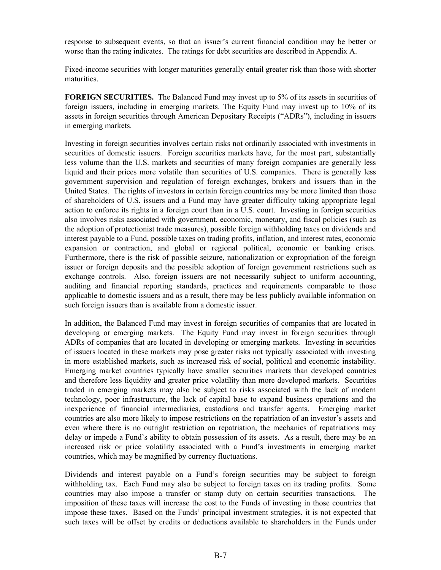response to subsequent events, so that an issuer's current financial condition may be better or worse than the rating indicates. The ratings for debt securities are described in Appendix A.

Fixed-income securities with longer maturities generally entail greater risk than those with shorter maturities.

**FOREIGN SECURITIES.** The Balanced Fund may invest up to 5% of its assets in securities of foreign issuers, including in emerging markets. The Equity Fund may invest up to 10% of its assets in foreign securities through American Depositary Receipts ("ADRs"), including in issuers in emerging markets.

Investing in foreign securities involves certain risks not ordinarily associated with investments in securities of domestic issuers. Foreign securities markets have, for the most part, substantially less volume than the U.S. markets and securities of many foreign companies are generally less liquid and their prices more volatile than securities of U.S. companies. There is generally less government supervision and regulation of foreign exchanges, brokers and issuers than in the United States. The rights of investors in certain foreign countries may be more limited than those of shareholders of U.S. issuers and a Fund may have greater difficulty taking appropriate legal action to enforce its rights in a foreign court than in a U.S. court. Investing in foreign securities also involves risks associated with government, economic, monetary, and fiscal policies (such as the adoption of protectionist trade measures), possible foreign withholding taxes on dividends and interest payable to a Fund, possible taxes on trading profits, inflation, and interest rates, economic expansion or contraction, and global or regional political, economic or banking crises. Furthermore, there is the risk of possible seizure, nationalization or expropriation of the foreign issuer or foreign deposits and the possible adoption of foreign government restrictions such as exchange controls. Also, foreign issuers are not necessarily subject to uniform accounting, auditing and financial reporting standards, practices and requirements comparable to those applicable to domestic issuers and as a result, there may be less publicly available information on such foreign issuers than is available from a domestic issuer.

In addition, the Balanced Fund may invest in foreign securities of companies that are located in developing or emerging markets. The Equity Fund may invest in foreign securities through ADRs of companies that are located in developing or emerging markets. Investing in securities of issuers located in these markets may pose greater risks not typically associated with investing in more established markets, such as increased risk of social, political and economic instability. Emerging market countries typically have smaller securities markets than developed countries and therefore less liquidity and greater price volatility than more developed markets. Securities traded in emerging markets may also be subject to risks associated with the lack of modern technology, poor infrastructure, the lack of capital base to expand business operations and the inexperience of financial intermediaries, custodians and transfer agents. Emerging market countries are also more likely to impose restrictions on the repatriation of an investor's assets and even where there is no outright restriction on repatriation, the mechanics of repatriations may delay or impede a Fund's ability to obtain possession of its assets. As a result, there may be an increased risk or price volatility associated with a Fund's investments in emerging market countries, which may be magnified by currency fluctuations.

Dividends and interest payable on a Fund's foreign securities may be subject to foreign withholding tax. Each Fund may also be subject to foreign taxes on its trading profits. Some countries may also impose a transfer or stamp duty on certain securities transactions. The imposition of these taxes will increase the cost to the Funds of investing in those countries that impose these taxes. Based on the Funds' principal investment strategies, it is not expected that such taxes will be offset by credits or deductions available to shareholders in the Funds under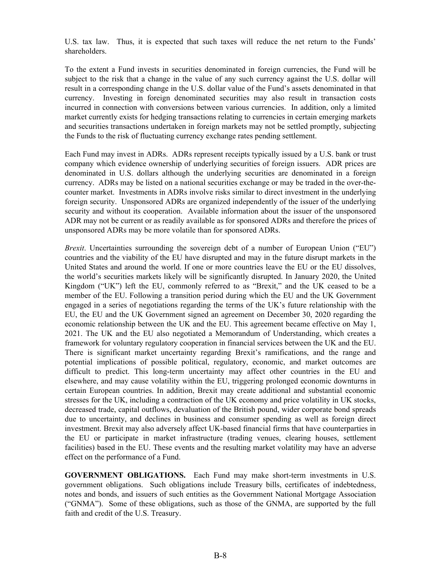U.S. tax law. Thus, it is expected that such taxes will reduce the net return to the Funds' shareholders.

To the extent a Fund invests in securities denominated in foreign currencies, the Fund will be subject to the risk that a change in the value of any such currency against the U.S. dollar will result in a corresponding change in the U.S. dollar value of the Fund's assets denominated in that currency. Investing in foreign denominated securities may also result in transaction costs incurred in connection with conversions between various currencies. In addition, only a limited market currently exists for hedging transactions relating to currencies in certain emerging markets and securities transactions undertaken in foreign markets may not be settled promptly, subjecting the Funds to the risk of fluctuating currency exchange rates pending settlement.

Each Fund may invest in ADRs. ADRs represent receipts typically issued by a U.S. bank or trust company which evidence ownership of underlying securities of foreign issuers. ADR prices are denominated in U.S. dollars although the underlying securities are denominated in a foreign currency. ADRs may be listed on a national securities exchange or may be traded in the over-thecounter market. Investments in ADRs involve risks similar to direct investment in the underlying foreign security. Unsponsored ADRs are organized independently of the issuer of the underlying security and without its cooperation. Available information about the issuer of the unsponsored ADR may not be current or as readily available as for sponsored ADRs and therefore the prices of unsponsored ADRs may be more volatile than for sponsored ADRs.

*Brexit*. Uncertainties surrounding the sovereign debt of a number of European Union ("EU") countries and the viability of the EU have disrupted and may in the future disrupt markets in the United States and around the world. If one or more countries leave the EU or the EU dissolves, the world's securities markets likely will be significantly disrupted. In January 2020, the United Kingdom ("UK") left the EU, commonly referred to as "Brexit," and the UK ceased to be a member of the EU. Following a transition period during which the EU and the UK Government engaged in a series of negotiations regarding the terms of the UK's future relationship with the EU, the EU and the UK Government signed an agreement on December 30, 2020 regarding the economic relationship between the UK and the EU. This agreement became effective on May 1, 2021. The UK and the EU also negotiated a Memorandum of Understanding, which creates a framework for voluntary regulatory cooperation in financial services between the UK and the EU. There is significant market uncertainty regarding Brexit's ramifications, and the range and potential implications of possible political, regulatory, economic, and market outcomes are difficult to predict. This long-term uncertainty may affect other countries in the EU and elsewhere, and may cause volatility within the EU, triggering prolonged economic downturns in certain European countries. In addition, Brexit may create additional and substantial economic stresses for the UK, including a contraction of the UK economy and price volatility in UK stocks, decreased trade, capital outflows, devaluation of the British pound, wider corporate bond spreads due to uncertainty, and declines in business and consumer spending as well as foreign direct investment. Brexit may also adversely affect UK-based financial firms that have counterparties in the EU or participate in market infrastructure (trading venues, clearing houses, settlement facilities) based in the EU. These events and the resulting market volatility may have an adverse effect on the performance of a Fund.

**GOVERNMENT OBLIGATIONS.** Each Fund may make short-term investments in U.S. government obligations. Such obligations include Treasury bills, certificates of indebtedness, notes and bonds, and issuers of such entities as the Government National Mortgage Association ("GNMA"). Some of these obligations, such as those of the GNMA, are supported by the full faith and credit of the U.S. Treasury.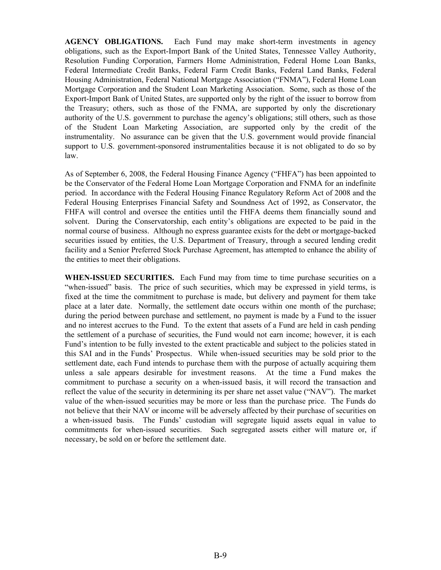**AGENCY OBLIGATIONS.** Each Fund may make short-term investments in agency obligations, such as the Export-Import Bank of the United States, Tennessee Valley Authority, Resolution Funding Corporation, Farmers Home Administration, Federal Home Loan Banks, Federal Intermediate Credit Banks, Federal Farm Credit Banks, Federal Land Banks, Federal Housing Administration, Federal National Mortgage Association ("FNMA"), Federal Home Loan Mortgage Corporation and the Student Loan Marketing Association. Some, such as those of the Export-Import Bank of United States, are supported only by the right of the issuer to borrow from the Treasury; others, such as those of the FNMA, are supported by only the discretionary authority of the U.S. government to purchase the agency's obligations; still others, such as those of the Student Loan Marketing Association, are supported only by the credit of the instrumentality. No assurance can be given that the U.S. government would provide financial support to U.S. government-sponsored instrumentalities because it is not obligated to do so by law.

As of September 6, 2008, the Federal Housing Finance Agency ("FHFA") has been appointed to be the Conservator of the Federal Home Loan Mortgage Corporation and FNMA for an indefinite period. In accordance with the Federal Housing Finance Regulatory Reform Act of 2008 and the Federal Housing Enterprises Financial Safety and Soundness Act of 1992, as Conservator, the FHFA will control and oversee the entities until the FHFA deems them financially sound and solvent. During the Conservatorship, each entity's obligations are expected to be paid in the normal course of business. Although no express guarantee exists for the debt or mortgage-backed securities issued by entities, the U.S. Department of Treasury, through a secured lending credit facility and a Senior Preferred Stock Purchase Agreement, has attempted to enhance the ability of the entities to meet their obligations.

**WHEN-ISSUED SECURITIES.** Each Fund may from time to time purchase securities on a "when-issued" basis. The price of such securities, which may be expressed in yield terms, is fixed at the time the commitment to purchase is made, but delivery and payment for them take place at a later date. Normally, the settlement date occurs within one month of the purchase; during the period between purchase and settlement, no payment is made by a Fund to the issuer and no interest accrues to the Fund. To the extent that assets of a Fund are held in cash pending the settlement of a purchase of securities, the Fund would not earn income; however, it is each Fund's intention to be fully invested to the extent practicable and subject to the policies stated in this SAI and in the Funds' Prospectus. While when-issued securities may be sold prior to the settlement date, each Fund intends to purchase them with the purpose of actually acquiring them unless a sale appears desirable for investment reasons. At the time a Fund makes the commitment to purchase a security on a when-issued basis, it will record the transaction and reflect the value of the security in determining its per share net asset value ("NAV"). The market value of the when-issued securities may be more or less than the purchase price. The Funds do not believe that their NAV or income will be adversely affected by their purchase of securities on a when-issued basis. The Funds' custodian will segregate liquid assets equal in value to commitments for when-issued securities. Such segregated assets either will mature or, if necessary, be sold on or before the settlement date.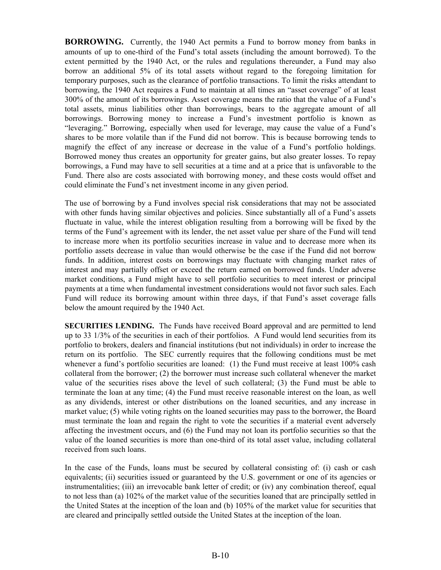**BORROWING.** Currently, the 1940 Act permits a Fund to borrow money from banks in amounts of up to one-third of the Fund's total assets (including the amount borrowed). To the extent permitted by the 1940 Act, or the rules and regulations thereunder, a Fund may also borrow an additional 5% of its total assets without regard to the foregoing limitation for temporary purposes, such as the clearance of portfolio transactions. To limit the risks attendant to borrowing, the 1940 Act requires a Fund to maintain at all times an "asset coverage" of at least 300% of the amount of its borrowings. Asset coverage means the ratio that the value of a Fund's total assets, minus liabilities other than borrowings, bears to the aggregate amount of all borrowings. Borrowing money to increase a Fund's investment portfolio is known as "leveraging." Borrowing, especially when used for leverage, may cause the value of a Fund's shares to be more volatile than if the Fund did not borrow. This is because borrowing tends to magnify the effect of any increase or decrease in the value of a Fund's portfolio holdings. Borrowed money thus creates an opportunity for greater gains, but also greater losses. To repay borrowings, a Fund may have to sell securities at a time and at a price that is unfavorable to the Fund. There also are costs associated with borrowing money, and these costs would offset and could eliminate the Fund's net investment income in any given period.

The use of borrowing by a Fund involves special risk considerations that may not be associated with other funds having similar objectives and policies. Since substantially all of a Fund's assets fluctuate in value, while the interest obligation resulting from a borrowing will be fixed by the terms of the Fund's agreement with its lender, the net asset value per share of the Fund will tend to increase more when its portfolio securities increase in value and to decrease more when its portfolio assets decrease in value than would otherwise be the case if the Fund did not borrow funds. In addition, interest costs on borrowings may fluctuate with changing market rates of interest and may partially offset or exceed the return earned on borrowed funds. Under adverse market conditions, a Fund might have to sell portfolio securities to meet interest or principal payments at a time when fundamental investment considerations would not favor such sales. Each Fund will reduce its borrowing amount within three days, if that Fund's asset coverage falls below the amount required by the 1940 Act.

**SECURITIES LENDING.** The Funds have received Board approval and are permitted to lend up to 33 1/3% of the securities in each of their portfolios. A Fund would lend securities from its portfolio to brokers, dealers and financial institutions (but not individuals) in order to increase the return on its portfolio. The SEC currently requires that the following conditions must be met whenever a fund's portfolio securities are loaned: (1) the Fund must receive at least 100% cash collateral from the borrower; (2) the borrower must increase such collateral whenever the market value of the securities rises above the level of such collateral; (3) the Fund must be able to terminate the loan at any time; (4) the Fund must receive reasonable interest on the loan, as well as any dividends, interest or other distributions on the loaned securities, and any increase in market value; (5) while voting rights on the loaned securities may pass to the borrower, the Board must terminate the loan and regain the right to vote the securities if a material event adversely affecting the investment occurs, and (6) the Fund may not loan its portfolio securities so that the value of the loaned securities is more than one-third of its total asset value, including collateral received from such loans.

In the case of the Funds, loans must be secured by collateral consisting of: (i) cash or cash equivalents; (ii) securities issued or guaranteed by the U.S. government or one of its agencies or instrumentalities; (iii) an irrevocable bank letter of credit; or (iv) any combination thereof, equal to not less than (a) 102% of the market value of the securities loaned that are principally settled in the United States at the inception of the loan and (b) 105% of the market value for securities that are cleared and principally settled outside the United States at the inception of the loan.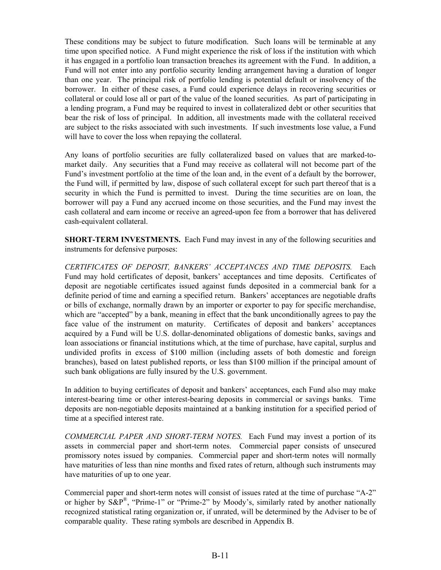These conditions may be subject to future modification. Such loans will be terminable at any time upon specified notice. A Fund might experience the risk of loss if the institution with which it has engaged in a portfolio loan transaction breaches its agreement with the Fund. In addition, a Fund will not enter into any portfolio security lending arrangement having a duration of longer than one year. The principal risk of portfolio lending is potential default or insolvency of the borrower. In either of these cases, a Fund could experience delays in recovering securities or collateral or could lose all or part of the value of the loaned securities. As part of participating in a lending program, a Fund may be required to invest in collateralized debt or other securities that bear the risk of loss of principal. In addition, all investments made with the collateral received are subject to the risks associated with such investments. If such investments lose value, a Fund will have to cover the loss when repaying the collateral.

Any loans of portfolio securities are fully collateralized based on values that are marked-tomarket daily. Any securities that a Fund may receive as collateral will not become part of the Fund's investment portfolio at the time of the loan and, in the event of a default by the borrower, the Fund will, if permitted by law, dispose of such collateral except for such part thereof that is a security in which the Fund is permitted to invest. During the time securities are on loan, the borrower will pay a Fund any accrued income on those securities, and the Fund may invest the cash collateral and earn income or receive an agreed-upon fee from a borrower that has delivered cash-equivalent collateral.

**SHORT-TERM INVESTMENTS.** Each Fund may invest in any of the following securities and instruments for defensive purposes:

*CERTIFICATES OF DEPOSIT, BANKERS' ACCEPTANCES AND TIME DEPOSITS.* Each Fund may hold certificates of deposit, bankers' acceptances and time deposits. Certificates of deposit are negotiable certificates issued against funds deposited in a commercial bank for a definite period of time and earning a specified return. Bankers' acceptances are negotiable drafts or bills of exchange, normally drawn by an importer or exporter to pay for specific merchandise, which are "accepted" by a bank, meaning in effect that the bank unconditionally agrees to pay the face value of the instrument on maturity. Certificates of deposit and bankers' acceptances acquired by a Fund will be U.S. dollar-denominated obligations of domestic banks, savings and loan associations or financial institutions which, at the time of purchase, have capital, surplus and undivided profits in excess of \$100 million (including assets of both domestic and foreign branches), based on latest published reports, or less than \$100 million if the principal amount of such bank obligations are fully insured by the U.S. government.

In addition to buying certificates of deposit and bankers' acceptances, each Fund also may make interest-bearing time or other interest-bearing deposits in commercial or savings banks. Time deposits are non-negotiable deposits maintained at a banking institution for a specified period of time at a specified interest rate.

*COMMERCIAL PAPER AND SHORT-TERM NOTES.* Each Fund may invest a portion of its assets in commercial paper and short-term notes. Commercial paper consists of unsecured promissory notes issued by companies. Commercial paper and short-term notes will normally have maturities of less than nine months and fixed rates of return, although such instruments may have maturities of up to one year.

Commercial paper and short-term notes will consist of issues rated at the time of purchase "A-2" or higher by  $S\&P^{\mathbb{B}}$ , "Prime-1" or "Prime-2" by Moody's, similarly rated by another nationally recognized statistical rating organization or, if unrated, will be determined by the Adviser to be of comparable quality. These rating symbols are described in Appendix B.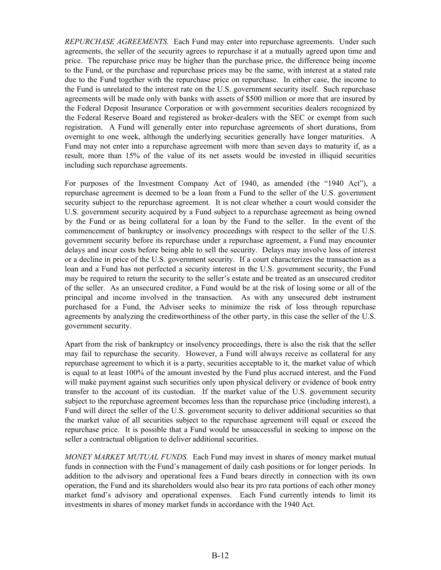*REPURCHASE AGREEMENTS.* Each Fund may enter into repurchase agreements. Under such agreements, the seller of the security agrees to repurchase it at a mutually agreed upon time and price. The repurchase price may be higher than the purchase price, the difference being income to the Fund, or the purchase and repurchase prices may be the same, with interest at a stated rate due to the Fund together with the repurchase price on repurchase. In either case, the income to the Fund is unrelated to the interest rate on the U.S. government security itself. Such repurchase agreements will be made only with banks with assets of \$500 million or more that are insured by the Federal Deposit Insurance Corporation or with government securities dealers recognized by the Federal Reserve Board and registered as broker-dealers with the SEC or exempt from such registration. A Fund will generally enter into repurchase agreements of short durations, from overnight to one week, although the underlying securities generally have longer maturities. A Fund may not enter into a repurchase agreement with more than seven days to maturity if, as a result, more than 15% of the value of its net assets would be invested in illiquid securities including such repurchase agreements.

For purposes of the Investment Company Act of 1940, as amended (the "1940 Act"), a repurchase agreement is deemed to be a loan from a Fund to the seller of the U.S. government security subject to the repurchase agreement. It is not clear whether a court would consider the U.S. government security acquired by a Fund subject to a repurchase agreement as being owned by the Fund or as being collateral for a loan by the Fund to the seller. In the event of the commencement of bankruptcy or insolvency proceedings with respect to the seller of the U.S. government security before its repurchase under a repurchase agreement, a Fund may encounter delays and incur costs before being able to sell the security. Delays may involve loss of interest or a decline in price of the U.S. government security. If a court characterizes the transaction as a loan and a Fund has not perfected a security interest in the U.S. government security, the Fund may be required to return the security to the seller's estate and be treated as an unsecured creditor of the seller. As an unsecured creditor, a Fund would be at the risk of losing some or all of the principal and income involved in the transaction. As with any unsecured debt instrument purchased for a Fund, the Adviser seeks to minimize the risk of loss through repurchase agreements by analyzing the creditworthiness of the other party, in this case the seller of the U.S. government security.

Apart from the risk of bankruptcy or insolvency proceedings, there is also the risk that the seller may fail to repurchase the security. However, a Fund will always receive as collateral for any repurchase agreement to which it is a party, securities acceptable to it, the market value of which is equal to at least 100% of the amount invested by the Fund plus accrued interest, and the Fund will make payment against such securities only upon physical delivery or evidence of book entry transfer to the account of its custodian. If the market value of the U.S. government security subject to the repurchase agreement becomes less than the repurchase price (including interest), a Fund will direct the seller of the U.S. government security to deliver additional securities so that the market value of all securities subject to the repurchase agreement will equal or exceed the repurchase price. It is possible that a Fund would be unsuccessful in seeking to impose on the seller a contractual obligation to deliver additional securities.

*MONEY MARKET MUTUAL FUNDS.* Each Fund may invest in shares of money market mutual funds in connection with the Fund's management of daily cash positions or for longer periods. In addition to the advisory and operational fees a Fund bears directly in connection with its own operation, the Fund and its shareholders would also bear its pro rata portions of each other money market fund's advisory and operational expenses. Each Fund currently intends to limit its investments in shares of money market funds in accordance with the 1940 Act.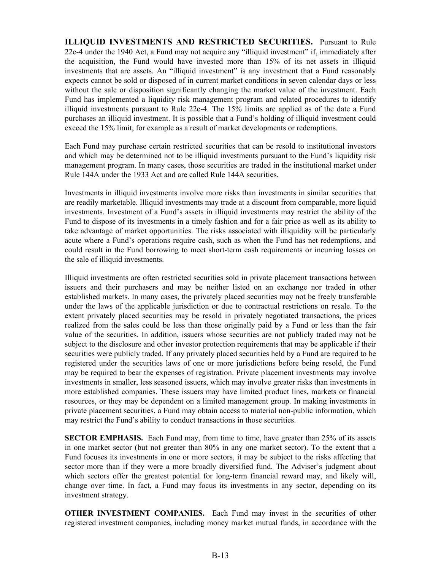**ILLIQUID INVESTMENTS AND RESTRICTED SECURITIES.** Pursuant to Rule 22e-4 under the 1940 Act, a Fund may not acquire any "illiquid investment" if, immediately after the acquisition, the Fund would have invested more than 15% of its net assets in illiquid investments that are assets. An "illiquid investment" is any investment that a Fund reasonably expects cannot be sold or disposed of in current market conditions in seven calendar days or less without the sale or disposition significantly changing the market value of the investment. Each Fund has implemented a liquidity risk management program and related procedures to identify illiquid investments pursuant to Rule 22e-4. The 15% limits are applied as of the date a Fund purchases an illiquid investment. It is possible that a Fund's holding of illiquid investment could exceed the 15% limit, for example as a result of market developments or redemptions.

Each Fund may purchase certain restricted securities that can be resold to institutional investors and which may be determined not to be illiquid investments pursuant to the Fund's liquidity risk management program. In many cases, those securities are traded in the institutional market under Rule 144A under the 1933 Act and are called Rule 144A securities.

Investments in illiquid investments involve more risks than investments in similar securities that are readily marketable. Illiquid investments may trade at a discount from comparable, more liquid investments. Investment of a Fund's assets in illiquid investments may restrict the ability of the Fund to dispose of its investments in a timely fashion and for a fair price as well as its ability to take advantage of market opportunities. The risks associated with illiquidity will be particularly acute where a Fund's operations require cash, such as when the Fund has net redemptions, and could result in the Fund borrowing to meet short-term cash requirements or incurring losses on the sale of illiquid investments.

Illiquid investments are often restricted securities sold in private placement transactions between issuers and their purchasers and may be neither listed on an exchange nor traded in other established markets. In many cases, the privately placed securities may not be freely transferable under the laws of the applicable jurisdiction or due to contractual restrictions on resale. To the extent privately placed securities may be resold in privately negotiated transactions, the prices realized from the sales could be less than those originally paid by a Fund or less than the fair value of the securities. In addition, issuers whose securities are not publicly traded may not be subject to the disclosure and other investor protection requirements that may be applicable if their securities were publicly traded. If any privately placed securities held by a Fund are required to be registered under the securities laws of one or more jurisdictions before being resold, the Fund may be required to bear the expenses of registration. Private placement investments may involve investments in smaller, less seasoned issuers, which may involve greater risks than investments in more established companies. These issuers may have limited product lines, markets or financial resources, or they may be dependent on a limited management group. In making investments in private placement securities, a Fund may obtain access to material non-public information, which may restrict the Fund's ability to conduct transactions in those securities.

**SECTOR EMPHASIS.** Each Fund may, from time to time, have greater than 25% of its assets in one market sector (but not greater than 80% in any one market sector). To the extent that a Fund focuses its investments in one or more sectors, it may be subject to the risks affecting that sector more than if they were a more broadly diversified fund. The Adviser's judgment about which sectors offer the greatest potential for long-term financial reward may, and likely will, change over time. In fact, a Fund may focus its investments in any sector, depending on its investment strategy.

**OTHER INVESTMENT COMPANIES.** Each Fund may invest in the securities of other registered investment companies, including money market mutual funds, in accordance with the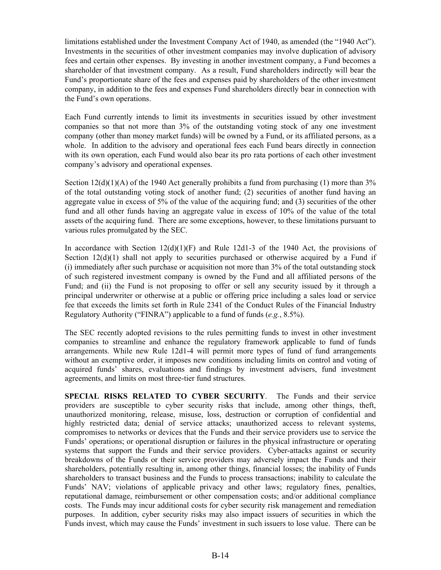limitations established under the Investment Company Act of 1940, as amended (the "1940 Act"). Investments in the securities of other investment companies may involve duplication of advisory fees and certain other expenses. By investing in another investment company, a Fund becomes a shareholder of that investment company. As a result, Fund shareholders indirectly will bear the Fund's proportionate share of the fees and expenses paid by shareholders of the other investment company, in addition to the fees and expenses Fund shareholders directly bear in connection with the Fund's own operations.

Each Fund currently intends to limit its investments in securities issued by other investment companies so that not more than 3% of the outstanding voting stock of any one investment company (other than money market funds) will be owned by a Fund, or its affiliated persons, as a whole. In addition to the advisory and operational fees each Fund bears directly in connection with its own operation, each Fund would also bear its pro rata portions of each other investment company's advisory and operational expenses.

Section  $12(d)(1)(A)$  of the 1940 Act generally prohibits a fund from purchasing (1) more than 3% of the total outstanding voting stock of another fund; (2) securities of another fund having an aggregate value in excess of 5% of the value of the acquiring fund; and (3) securities of the other fund and all other funds having an aggregate value in excess of 10% of the value of the total assets of the acquiring fund. There are some exceptions, however, to these limitations pursuant to various rules promulgated by the SEC.

In accordance with Section  $12(d)(1)(F)$  and Rule 12d1-3 of the 1940 Act, the provisions of Section  $12(d)(1)$  shall not apply to securities purchased or otherwise acquired by a Fund if (i) immediately after such purchase or acquisition not more than 3% of the total outstanding stock of such registered investment company is owned by the Fund and all affiliated persons of the Fund; and (ii) the Fund is not proposing to offer or sell any security issued by it through a principal underwriter or otherwise at a public or offering price including a sales load or service fee that exceeds the limits set forth in Rule 2341 of the Conduct Rules of the Financial Industry Regulatory Authority ("FINRA") applicable to a fund of funds (*e.g.*, 8.5%).

The SEC recently adopted revisions to the rules permitting funds to invest in other investment companies to streamline and enhance the regulatory framework applicable to fund of funds arrangements. While new Rule 12d1-4 will permit more types of fund of fund arrangements without an exemptive order, it imposes new conditions including limits on control and voting of acquired funds' shares, evaluations and findings by investment advisers, fund investment agreements, and limits on most three-tier fund structures.

**SPECIAL RISKS RELATED TO CYBER SECURITY**. The Funds and their service providers are susceptible to cyber security risks that include, among other things, theft, unauthorized monitoring, release, misuse, loss, destruction or corruption of confidential and highly restricted data; denial of service attacks; unauthorized access to relevant systems, compromises to networks or devices that the Funds and their service providers use to service the Funds' operations; or operational disruption or failures in the physical infrastructure or operating systems that support the Funds and their service providers. Cyber-attacks against or security breakdowns of the Funds or their service providers may adversely impact the Funds and their shareholders, potentially resulting in, among other things, financial losses; the inability of Funds shareholders to transact business and the Funds to process transactions; inability to calculate the Funds' NAV; violations of applicable privacy and other laws; regulatory fines, penalties, reputational damage, reimbursement or other compensation costs; and/or additional compliance costs. The Funds may incur additional costs for cyber security risk management and remediation purposes. In addition, cyber security risks may also impact issuers of securities in which the Funds invest, which may cause the Funds' investment in such issuers to lose value. There can be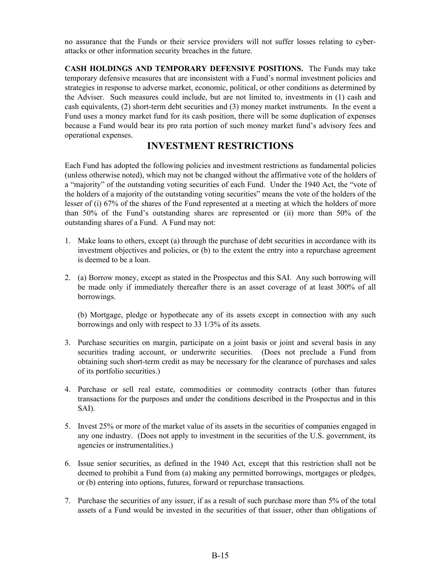<span id="page-18-0"></span>no assurance that the Funds or their service providers will not suffer losses relating to cyberattacks or other information security breaches in the future.

**CASH HOLDINGS AND TEMPORARY DEFENSIVE POSITIONS.** The Funds may take temporary defensive measures that are inconsistent with a Fund's normal investment policies and strategies in response to adverse market, economic, political, or other conditions as determined by the Adviser. Such measures could include, but are not limited to, investments in (1) cash and cash equivalents, (2) short-term debt securities and (3) money market instruments. In the event a Fund uses a money market fund for its cash position, there will be some duplication of expenses because a Fund would bear its pro rata portion of such money market fund's advisory fees and operational expenses.

# **INVESTMENT RESTRICTIONS**

Each Fund has adopted the following policies and investment restrictions as fundamental policies (unless otherwise noted), which may not be changed without the affirmative vote of the holders of a "majority" of the outstanding voting securities of each Fund. Under the 1940 Act, the "vote of the holders of a majority of the outstanding voting securities" means the vote of the holders of the lesser of (i) 67% of the shares of the Fund represented at a meeting at which the holders of more than 50% of the Fund's outstanding shares are represented or (ii) more than 50% of the outstanding shares of a Fund. A Fund may not:

- 1. Make loans to others, except (a) through the purchase of debt securities in accordance with its investment objectives and policies, or (b) to the extent the entry into a repurchase agreement is deemed to be a loan.
- 2. (a) Borrow money, except as stated in the Prospectus and this SAI. Any such borrowing will be made only if immediately thereafter there is an asset coverage of at least 300% of all borrowings.

(b) Mortgage, pledge or hypothecate any of its assets except in connection with any such borrowings and only with respect to 33 1/3% of its assets.

- 3. Purchase securities on margin, participate on a joint basis or joint and several basis in any securities trading account, or underwrite securities. (Does not preclude a Fund from obtaining such short-term credit as may be necessary for the clearance of purchases and sales of its portfolio securities.)
- 4. Purchase or sell real estate, commodities or commodity contracts (other than futures transactions for the purposes and under the conditions described in the Prospectus and in this SAI).
- 5. Invest 25% or more of the market value of its assets in the securities of companies engaged in any one industry. (Does not apply to investment in the securities of the U.S. government, its agencies or instrumentalities.)
- 6. Issue senior securities, as defined in the 1940 Act, except that this restriction shall not be deemed to prohibit a Fund from (a) making any permitted borrowings, mortgages or pledges, or (b) entering into options, futures, forward or repurchase transactions.
- 7. Purchase the securities of any issuer, if as a result of such purchase more than 5% of the total assets of a Fund would be invested in the securities of that issuer, other than obligations of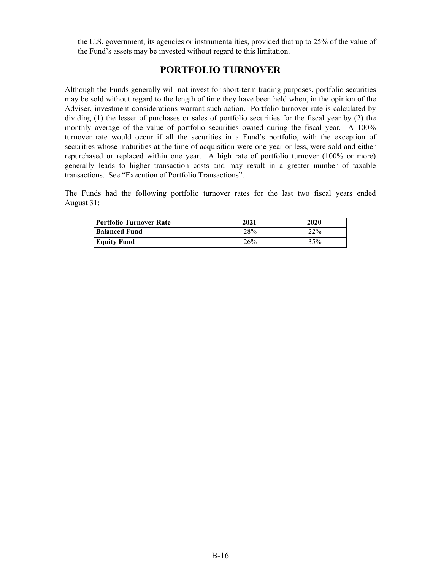<span id="page-19-0"></span>the U.S. government, its agencies or instrumentalities, provided that up to 25% of the value of the Fund's assets may be invested without regard to this limitation.

# **PORTFOLIO TURNOVER**

Although the Funds generally will not invest for short-term trading purposes, portfolio securities may be sold without regard to the length of time they have been held when, in the opinion of the Adviser, investment considerations warrant such action. Portfolio turnover rate is calculated by dividing (1) the lesser of purchases or sales of portfolio securities for the fiscal year by (2) the monthly average of the value of portfolio securities owned during the fiscal year. A 100% turnover rate would occur if all the securities in a Fund's portfolio, with the exception of securities whose maturities at the time of acquisition were one year or less, were sold and either repurchased or replaced within one year. A high rate of portfolio turnover (100% or more) generally leads to higher transaction costs and may result in a greater number of taxable transactions. See "Execution of Portfolio Transactions".

The Funds had the following portfolio turnover rates for the last two fiscal years ended August 31:

| Portfolio Turnover Rate | 2021 | 2020 |
|-------------------------|------|------|
| <b>Balanced Fund</b>    | 28%  | 22%  |
| <b>Equity Fund</b>      | 26%  | 35%  |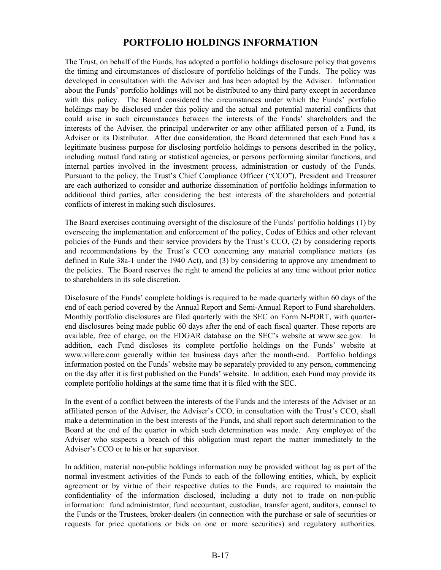# **PORTFOLIO HOLDINGS INFORMATION**

<span id="page-20-0"></span>The Trust, on behalf of the Funds, has adopted a portfolio holdings disclosure policy that governs the timing and circumstances of disclosure of portfolio holdings of the Funds. The policy was developed in consultation with the Adviser and has been adopted by the Adviser. Information about the Funds' portfolio holdings will not be distributed to any third party except in accordance with this policy. The Board considered the circumstances under which the Funds' portfolio holdings may be disclosed under this policy and the actual and potential material conflicts that could arise in such circumstances between the interests of the Funds' shareholders and the interests of the Adviser, the principal underwriter or any other affiliated person of a Fund, its Adviser or its Distributor. After due consideration, the Board determined that each Fund has a legitimate business purpose for disclosing portfolio holdings to persons described in the policy, including mutual fund rating or statistical agencies, or persons performing similar functions, and internal parties involved in the investment process, administration or custody of the Funds. Pursuant to the policy, the Trust's Chief Compliance Officer ("CCO"), President and Treasurer are each authorized to consider and authorize dissemination of portfolio holdings information to additional third parties, after considering the best interests of the shareholders and potential conflicts of interest in making such disclosures.

The Board exercises continuing oversight of the disclosure of the Funds' portfolio holdings (1) by overseeing the implementation and enforcement of the policy, Codes of Ethics and other relevant policies of the Funds and their service providers by the Trust's CCO, (2) by considering reports and recommendations by the Trust's CCO concerning any material compliance matters (as defined in Rule 38a-1 under the 1940 Act), and (3) by considering to approve any amendment to the policies. The Board reserves the right to amend the policies at any time without prior notice to shareholders in its sole discretion.

Disclosure of the Funds' complete holdings is required to be made quarterly within 60 days of the end of each period covered by the Annual Report and Semi-Annual Report to Fund shareholders. Monthly portfolio disclosures are filed quarterly with the SEC on Form N-PORT, with quarterend disclosures being made public 60 days after the end of each fiscal quarter. These reports are available, free of charge, on the EDGAR database on the SEC's website at www.sec.gov. In addition, each Fund discloses its complete portfolio holdings on the Funds' website at www.villere.com generally within ten business days after the month-end. Portfolio holdings information posted on the Funds' website may be separately provided to any person, commencing on the day after it is first published on the Funds' website. In addition, each Fund may provide its complete portfolio holdings at the same time that it is filed with the SEC.

In the event of a conflict between the interests of the Funds and the interests of the Adviser or an affiliated person of the Adviser, the Adviser's CCO, in consultation with the Trust's CCO, shall make a determination in the best interests of the Funds, and shall report such determination to the Board at the end of the quarter in which such determination was made. Any employee of the Adviser who suspects a breach of this obligation must report the matter immediately to the Adviser's CCO or to his or her supervisor.

In addition, material non-public holdings information may be provided without lag as part of the normal investment activities of the Funds to each of the following entities, which, by explicit agreement or by virtue of their respective duties to the Funds, are required to maintain the confidentiality of the information disclosed, including a duty not to trade on non-public information: fund administrator, fund accountant, custodian, transfer agent, auditors, counsel to the Funds or the Trustees, broker-dealers (in connection with the purchase or sale of securities or requests for price quotations or bids on one or more securities) and regulatory authorities.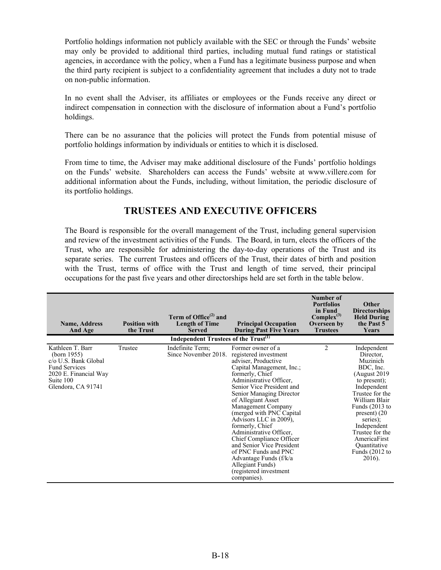<span id="page-21-0"></span>Portfolio holdings information not publicly available with the SEC or through the Funds' website may only be provided to additional third parties, including mutual fund ratings or statistical agencies, in accordance with the policy, when a Fund has a legitimate business purpose and when the third party recipient is subject to a confidentiality agreement that includes a duty not to trade on non-public information.

In no event shall the Adviser, its affiliates or employees or the Funds receive any direct or indirect compensation in connection with the disclosure of information about a Fund's portfolio holdings.

There can be no assurance that the policies will protect the Funds from potential misuse of portfolio holdings information by individuals or entities to which it is disclosed.

From time to time, the Adviser may make additional disclosure of the Funds' portfolio holdings on the Funds' website. Shareholders can access the Funds' website at www.villere.com for additional information about the Funds, including, without limitation, the periodic disclosure of its portfolio holdings.

# **TRUSTEES AND EXECUTIVE OFFICERS**

The Board is responsible for the overall management of the Trust, including general supervision and review of the investment activities of the Funds. The Board, in turn, elects the officers of the Trust, who are responsible for administering the day-to-day operations of the Trust and its separate series. The current Trustees and officers of the Trust, their dates of birth and position with the Trust, terms of office with the Trust and length of time served, their principal occupations for the past five years and other directorships held are set forth in the table below.

| <b>Name, Address</b><br>And Age                                                                                                                | <b>Position with</b><br>the Trust | Term of Office <sup><math>(2)</math></sup> and<br><b>Length of Time</b><br><b>Served</b> | <b>Principal Occupation</b><br><b>During Past Five Years</b>                                                                                                                                                                                                                                                                                                                                                                                                                                                                  | Number of<br><b>Portfolios</b><br>in Fund<br>$Complex^{(3)}$<br>Overseen by<br><b>Trustees</b> | Other<br><b>Directorships</b><br><b>Held During</b><br>the Past 5<br>Years                                                                                                                                                                                                              |
|------------------------------------------------------------------------------------------------------------------------------------------------|-----------------------------------|------------------------------------------------------------------------------------------|-------------------------------------------------------------------------------------------------------------------------------------------------------------------------------------------------------------------------------------------------------------------------------------------------------------------------------------------------------------------------------------------------------------------------------------------------------------------------------------------------------------------------------|------------------------------------------------------------------------------------------------|-----------------------------------------------------------------------------------------------------------------------------------------------------------------------------------------------------------------------------------------------------------------------------------------|
|                                                                                                                                                |                                   | Independent Trustees of the Trust <sup>(1)</sup>                                         |                                                                                                                                                                                                                                                                                                                                                                                                                                                                                                                               |                                                                                                |                                                                                                                                                                                                                                                                                         |
| Kathleen T. Barr<br>(born $1955$ )<br>c/o U.S. Bank Global<br><b>Fund Services</b><br>2020 E. Financial Way<br>Suite 100<br>Glendora, CA 91741 | Trustee                           | Indefinite Term;<br>Since November 2018.                                                 | Former owner of a<br>registered investment<br>adviser, Productive<br>Capital Management, Inc.;<br>formerly, Chief<br>Administrative Officer,<br>Senior Vice President and<br>Senior Managing Director<br>of Allegiant Asset<br>Management Company<br>(merged with PNC Capital<br>Advisors LLC in 2009),<br>formerly, Chief<br>Administrative Officer,<br>Chief Compliance Officer<br>and Senior Vice President<br>of PNC Funds and PNC<br>Advantage Funds (f/k/a<br>Allegiant Funds)<br>(registered investment<br>companies). | $\overline{c}$                                                                                 | Independent<br>Director.<br>Muzinich<br>BDC, Inc.<br>(August 2019)<br>to present);<br>Independent<br>Trustee for the<br>William Blair<br>Funds $(2013$ to<br>$present)$ (20<br>series);<br>Independent<br>Trustee for the<br>AmericaFirst<br>Quantitative<br>Funds $(2012$ to<br>2016). |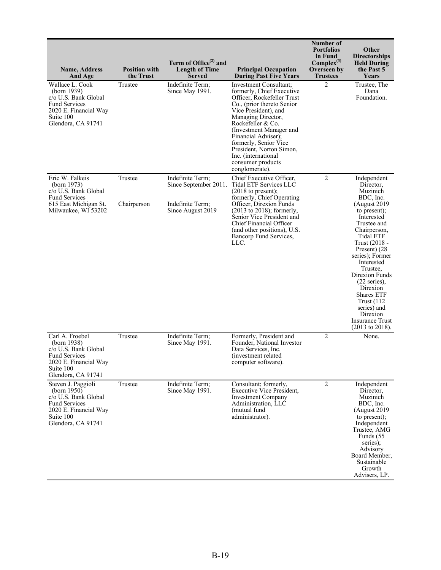| <b>Name, Address</b><br>And Age                                                                                                               | <b>Position with</b><br>the Trust | Term of Office <sup>(2)</sup> and<br><b>Length of Time</b><br><b>Served</b>        | <b>Principal Occupation</b><br><b>During Past Five Years</b>                                                                                                                                                                                                                                                                                            | Number of<br><b>Portfolios</b><br>in Fund<br>$Complex^{(3)}$<br>Overseen by<br><b>Trustees</b> | Other<br><b>Directorships</b><br><b>Held During</b><br>the Past 5<br>Years                                                                                                                                                                                                                                                                                                                                   |
|-----------------------------------------------------------------------------------------------------------------------------------------------|-----------------------------------|------------------------------------------------------------------------------------|---------------------------------------------------------------------------------------------------------------------------------------------------------------------------------------------------------------------------------------------------------------------------------------------------------------------------------------------------------|------------------------------------------------------------------------------------------------|--------------------------------------------------------------------------------------------------------------------------------------------------------------------------------------------------------------------------------------------------------------------------------------------------------------------------------------------------------------------------------------------------------------|
| Wallace L. Cook<br>(born 1939)<br>c/o U.S. Bank Global<br><b>Fund Services</b><br>2020 E. Financial Way<br>Suite 100<br>Glendora, CA 91741    | Trustee                           | Indefinite Term;<br>Since May 1991.                                                | Investment Consultant:<br>formerly, Chief Executive<br>Officer, Rockefeller Trust<br>Co., (prior thereto Senior<br>Vice President), and<br>Managing Director,<br>Rockefeller & Co.<br>(Investment Manager and<br>Financial Adviser);<br>formerly, Senior Vice<br>President, Norton Simon,<br>Inc. (international<br>consumer products<br>conglomerate). | $\mathfrak{D}$                                                                                 | Trustee, The<br>Dana<br>Foundation.                                                                                                                                                                                                                                                                                                                                                                          |
| Eric W. Falkeis<br>(born 1973)<br>c/o U.S. Bank Global<br><b>Fund Services</b><br>615 East Michigan St.<br>Milwaukee, WI 53202                | Trustee<br>Chairperson            | Indefinite Term;<br>Since September 2011.<br>Indefinite Term;<br>Since August 2019 | Chief Executive Officer,<br>Tidal ETF Services LLC<br>$(2018$ to present);<br>formerly, Chief Operating<br>Officer, Direxion Funds<br>$(2013$ to 2018); formerly,<br>Senior Vice President and<br>Chief Financial Officer<br>(and other positions), U.S.<br>Bancorp Fund Services,<br>LLC.                                                              | $\overline{c}$                                                                                 | Independent<br>Director,<br>Muzinich<br>BDC, Inc.<br>(August 2019<br>to present);<br>Interested<br>Trustee and<br>Chairperson,<br>Tidal ETF<br>Trust (2018 -<br>Present) (28)<br>series); Former<br>Interested<br>Trustee,<br>Direxion Funds<br>$(22 \text{ series})$ ,<br>Direxion<br><b>Shares ETF</b><br>Trust $(112)$<br>series) and<br>Direxion<br><b>Insurance Trust</b><br>$(2013 \text{ to } 2018).$ |
| Carl A. Froebel<br>(born 1938)<br>c/o U.S. Bank Global<br><b>Fund Services</b><br>2020 E. Financial Way<br>Suite 100<br>Glendora, CA 91741    | Trustee                           | Indefinite Term;<br>Since May 1991.                                                | Formerly, President and<br>Founder, National Investor<br>Data Services, Inc.<br>(investment related)<br>computer software).                                                                                                                                                                                                                             | $\overline{2}$                                                                                 | None.                                                                                                                                                                                                                                                                                                                                                                                                        |
| Steven J. Paggioli<br>(born 1950)<br>c/o U.S. Bank Global<br><b>Fund Services</b><br>2020 E. Financial Way<br>Suite 100<br>Glendora, CA 91741 | Trustee                           | Indefinite Term;<br>Since May 1991.                                                | Consultant; formerly,<br><b>Executive Vice President,</b><br><b>Investment Company</b><br>Administration, LLC<br>(mutual fund<br>administrator).                                                                                                                                                                                                        | $\overline{c}$                                                                                 | Independent<br>Director.<br>Muzinich<br>BDC, Inc.<br>(August 2019)<br>to present);<br>Independent<br>Trustee, AMG<br>Funds (55<br>series);<br>Advisory<br>Board Member,<br>Sustainable<br>Growth<br>Advisers, LP.                                                                                                                                                                                            |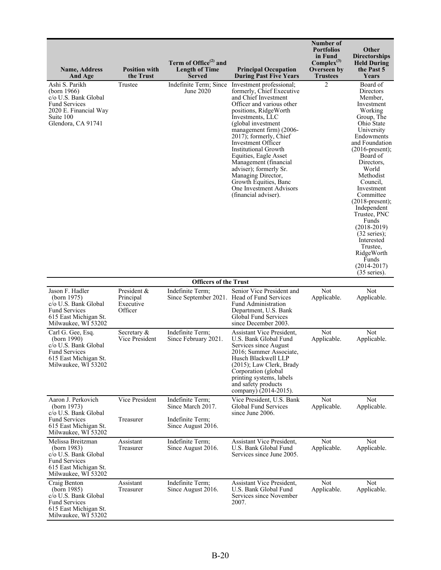| <b>Name, Address</b><br>And Age                                                                                                           | <b>Position with</b><br>the Trust                | Term of Office <sup>(2)</sup> and<br><b>Length of Time</b><br><b>Served</b> | <b>Principal Occupation</b><br><b>During Past Five Years</b>                                                                                                                                                                                                                                                                                                                                                                                                          | Number of<br><b>Portfolios</b><br>in Fund<br>$Complex^{(3)}$<br>Overseen by<br><b>Trustees</b> | <b>Other</b><br>Directorships<br><b>Held During</b><br>the Past 5<br>Years                                                                                                                                                                                                                                                                                                                                                                                |
|-------------------------------------------------------------------------------------------------------------------------------------------|--------------------------------------------------|-----------------------------------------------------------------------------|-----------------------------------------------------------------------------------------------------------------------------------------------------------------------------------------------------------------------------------------------------------------------------------------------------------------------------------------------------------------------------------------------------------------------------------------------------------------------|------------------------------------------------------------------------------------------------|-----------------------------------------------------------------------------------------------------------------------------------------------------------------------------------------------------------------------------------------------------------------------------------------------------------------------------------------------------------------------------------------------------------------------------------------------------------|
| Ashi S. Parikh<br>(born 1966)<br>c/o U.S. Bank Global<br><b>Fund Services</b><br>2020 E. Financial Way<br>Suite 100<br>Glendora, CA 91741 | Trustee                                          | Indefinite Term; Since<br>June 2020                                         | Investment professional;<br>formerly, Chief Executive<br>and Chief Investment<br>Officer and various other<br>positions, RidgeWorth<br>Investments, LLC<br>(global investment<br>management firm) (2006-<br>2017); formerly, Chief<br>Investment Officer<br><b>Institutional Growth</b><br>Equities, Eagle Asset<br>Management (financial<br>adviser); formerly Sr.<br>Managing Director,<br>Growth Equities, Banc<br>One Investment Advisors<br>(financial adviser). | $\overline{2}$                                                                                 | Board of<br>Directors<br>Member,<br>Investment<br>Working<br>Group, The<br>Ohio State<br>University<br>Endowments<br>and Foundation<br>$(2016$ -present);<br>Board of<br>Directors,<br>World<br>Methodist<br>Council.<br>Investment<br>Committee<br>$(2018$ -present);<br>Independent<br>Trustee, PNC<br>Funds<br>$(2018-2019)$<br>$(32 \text{ series})$ ;<br>Interested<br>Trustee,<br>RidgeWorth<br>Funds<br>$(2014 - 2017)$<br>$(35 \text{ series})$ . |
|                                                                                                                                           |                                                  | <b>Officers of the Trust</b>                                                |                                                                                                                                                                                                                                                                                                                                                                                                                                                                       |                                                                                                |                                                                                                                                                                                                                                                                                                                                                                                                                                                           |
| Jason F. Hadler<br>(born 1975)<br>c/o U.S. Bank Global<br><b>Fund Services</b><br>615 East Michigan St.<br>Milwaukee, WI 53202            | President &<br>Principal<br>Executive<br>Officer | Indefinite Term;                                                            | Senior Vice President and<br>Since September 2021. Head of Fund Services<br><b>Fund Administration</b><br>Department, U.S. Bank<br>Global Fund Services<br>since December 2003.                                                                                                                                                                                                                                                                                       | Not<br>Applicable.                                                                             | Not<br>Applicable.                                                                                                                                                                                                                                                                                                                                                                                                                                        |
| Carl G. Gee, Esq.<br>(born 1990)<br>c/o U.S. Bank Global<br><b>Fund Services</b><br>615 East Michigan St.<br>Milwaukee, WI 53202          | Secretary &<br>Vice President                    | Indefinite Term;<br>Since February 2021.                                    | Assistant Vice President,<br>U.S. Bank Global Fund<br>Services since August<br>2016; Summer Associate,<br>Husch Blackwell LLP<br>(2015); Law Clerk, Brady<br>Corporation (global<br>printing systems, labels<br>and safety products<br>company) (2014-2015).                                                                                                                                                                                                          | Not<br>Applicable.                                                                             | Not<br>Applicable.                                                                                                                                                                                                                                                                                                                                                                                                                                        |
| Aaron J. Perkovich<br>(born $1973$ )<br>c/o U.S. Bank Global                                                                              | Vice President                                   | Indefinite Term;<br>Since March 2017.                                       | Vice President, U.S. Bank<br><b>Global Fund Services</b><br>since June 2006.                                                                                                                                                                                                                                                                                                                                                                                          | Not<br>Applicable.                                                                             | <b>Not</b><br>Applicable.                                                                                                                                                                                                                                                                                                                                                                                                                                 |
| <b>Fund Services</b><br>615 East Michigan St.<br>Milwaukee, WI 53202                                                                      | Treasurer                                        | Indefinite Term:<br>Since August 2016.                                      |                                                                                                                                                                                                                                                                                                                                                                                                                                                                       |                                                                                                |                                                                                                                                                                                                                                                                                                                                                                                                                                                           |
| Melissa Breitzman<br>(born 1983)<br>c/o U.S. Bank Global<br><b>Fund Services</b><br>615 East Michigan St.<br>Milwaukee, WI 53202          | Assistant<br>Treasurer                           | Indefinite Term:<br>Since August 2016.                                      | Assistant Vice President,<br>U.S. Bank Global Fund<br>Services since June 2005.                                                                                                                                                                                                                                                                                                                                                                                       | Not<br>Applicable.                                                                             | Not<br>Applicable.                                                                                                                                                                                                                                                                                                                                                                                                                                        |
| Craig Benton<br>(born 1985)<br>c/o U.S. Bank Global<br><b>Fund Services</b><br>615 East Michigan St.<br>Milwaukee, WI 53202               | Assistant<br>Treasurer                           | Indefinite Term;<br>Since August 2016.                                      | Assistant Vice President,<br>U.S. Bank Global Fund<br>Services since November<br>2007.                                                                                                                                                                                                                                                                                                                                                                                | <b>Not</b><br>Applicable.                                                                      | Not<br>Applicable.                                                                                                                                                                                                                                                                                                                                                                                                                                        |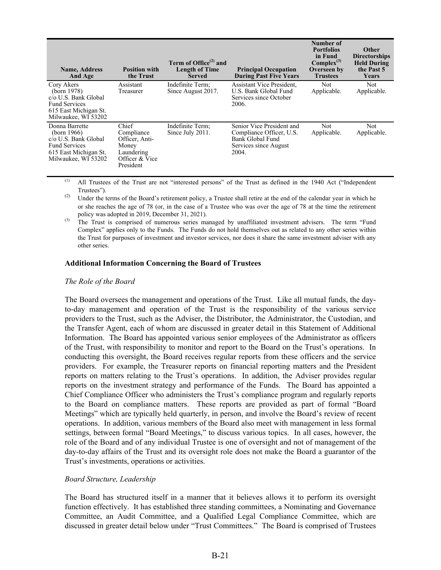| <b>Name, Address</b><br>And Age                                                                                                      | <b>Position with</b><br>the Trust                                                           | Term of Office <sup>(2)</sup> and<br><b>Length of Time</b><br><b>Served</b> | <b>Principal Occupation</b><br><b>During Past Five Years</b>                                                | Number of<br><b>Portfolios</b><br>in Fund<br>$Complex^{(3)}$<br>Overseen by<br><b>Trustees</b> | <b>Other</b><br><b>Directorships</b><br><b>Held During</b><br>the Past 5<br>Years |
|--------------------------------------------------------------------------------------------------------------------------------------|---------------------------------------------------------------------------------------------|-----------------------------------------------------------------------------|-------------------------------------------------------------------------------------------------------------|------------------------------------------------------------------------------------------------|-----------------------------------------------------------------------------------|
| Cory Akers<br>(born 1978)<br>c/o U.S. Bank Global<br><b>Fund Services</b><br>615 East Michigan St.<br>Milwaukee, WI 53202            | Assistant<br>Treasurer                                                                      | Indefinite Term;<br>Since August 2017.                                      | <b>Assistant Vice President,</b><br>U.S. Bank Global Fund<br>Services since October<br>2006.                | Not<br>Applicable.                                                                             | Not<br>Applicable.                                                                |
| Donna Barrette<br>(born 1966)<br>$c/\sigma$ U.S. Bank Global<br><b>Fund Services</b><br>615 East Michigan St.<br>Milwaukee, WI 53202 | Chief<br>Compliance<br>Officer, Anti-<br>Money<br>Laundering<br>Officer & Vice<br>President | Indefinite Term;<br>Since July 2011.                                        | Senior Vice President and<br>Compliance Officer, U.S.<br>Bank Global Fund<br>Services since August<br>2004. | Not<br>Applicable.                                                                             | Not.<br>Applicable.                                                               |

(1) All Trustees of the Trust are not "interested persons" of the Trust as defined in the 1940 Act ("Independent Trustees").

 $(2)$  Under the terms of the Board's retirement policy, a Trustee shall retire at the end of the calendar year in which he or she reaches the age of 78 (or, in the case of a Trustee who was over the age of 78 at the time the retirement policy was adopted in 2019, December 31, 2021).

<sup>(3)</sup> The Trust is comprised of numerous series managed by unaffiliated investment advisers. The term "Fund Complex" applies only to the Funds. The Funds do not hold themselves out as related to any other series within the Trust for purposes of investment and investor services, nor does it share the same investment adviser with any other series.

#### **Additional Information Concerning the Board of Trustees**

#### *The Role of the Board*

The Board oversees the management and operations of the Trust. Like all mutual funds, the dayto-day management and operation of the Trust is the responsibility of the various service providers to the Trust, such as the Adviser, the Distributor, the Administrator, the Custodian, and the Transfer Agent, each of whom are discussed in greater detail in this Statement of Additional Information. The Board has appointed various senior employees of the Administrator as officers of the Trust, with responsibility to monitor and report to the Board on the Trust's operations. In conducting this oversight, the Board receives regular reports from these officers and the service providers. For example, the Treasurer reports on financial reporting matters and the President reports on matters relating to the Trust's operations. In addition, the Adviser provides regular reports on the investment strategy and performance of the Funds. The Board has appointed a Chief Compliance Officer who administers the Trust's compliance program and regularly reports to the Board on compliance matters. These reports are provided as part of formal "Board Meetings" which are typically held quarterly, in person, and involve the Board's review of recent operations. In addition, various members of the Board also meet with management in less formal settings, between formal "Board Meetings," to discuss various topics. In all cases, however, the role of the Board and of any individual Trustee is one of oversight and not of management of the day-to-day affairs of the Trust and its oversight role does not make the Board a guarantor of the Trust's investments, operations or activities.

#### *Board Structure, Leadership*

The Board has structured itself in a manner that it believes allows it to perform its oversight function effectively. It has established three standing committees, a Nominating and Governance Committee, an Audit Committee, and a Qualified Legal Compliance Committee, which are discussed in greater detail below under "Trust Committees." The Board is comprised of Trustees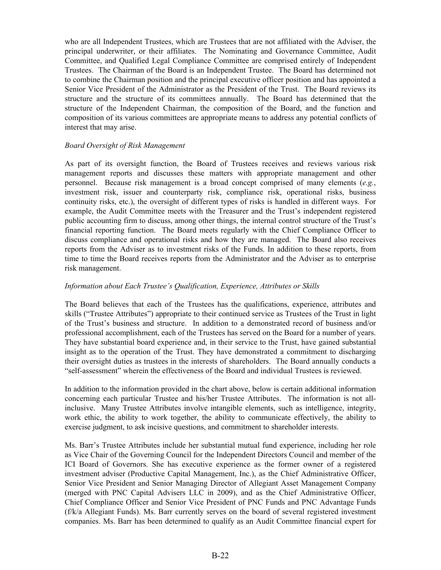who are all Independent Trustees, which are Trustees that are not affiliated with the Adviser, the principal underwriter, or their affiliates. The Nominating and Governance Committee, Audit Committee, and Qualified Legal Compliance Committee are comprised entirely of Independent Trustees. The Chairman of the Board is an Independent Trustee. The Board has determined not to combine the Chairman position and the principal executive officer position and has appointed a Senior Vice President of the Administrator as the President of the Trust. The Board reviews its structure and the structure of its committees annually. The Board has determined that the structure of the Independent Chairman, the composition of the Board, and the function and composition of its various committees are appropriate means to address any potential conflicts of interest that may arise.

#### *Board Oversight of Risk Management*

As part of its oversight function, the Board of Trustees receives and reviews various risk management reports and discusses these matters with appropriate management and other personnel. Because risk management is a broad concept comprised of many elements (*e.g.*, investment risk, issuer and counterparty risk, compliance risk, operational risks, business continuity risks, etc.), the oversight of different types of risks is handled in different ways. For example, the Audit Committee meets with the Treasurer and the Trust's independent registered public accounting firm to discuss, among other things, the internal control structure of the Trust's financial reporting function. The Board meets regularly with the Chief Compliance Officer to discuss compliance and operational risks and how they are managed. The Board also receives reports from the Adviser as to investment risks of the Funds. In addition to these reports, from time to time the Board receives reports from the Administrator and the Adviser as to enterprise risk management.

#### *Information about Each Trustee's Qualification, Experience, Attributes or Skills*

The Board believes that each of the Trustees has the qualifications, experience, attributes and skills ("Trustee Attributes") appropriate to their continued service as Trustees of the Trust in light of the Trust's business and structure. In addition to a demonstrated record of business and/or professional accomplishment, each of the Trustees has served on the Board for a number of years. They have substantial board experience and, in their service to the Trust, have gained substantial insight as to the operation of the Trust. They have demonstrated a commitment to discharging their oversight duties as trustees in the interests of shareholders. The Board annually conducts a "self-assessment" wherein the effectiveness of the Board and individual Trustees is reviewed.

In addition to the information provided in the chart above, below is certain additional information concerning each particular Trustee and his/her Trustee Attributes. The information is not allinclusive. Many Trustee Attributes involve intangible elements, such as intelligence, integrity, work ethic, the ability to work together, the ability to communicate effectively, the ability to exercise judgment, to ask incisive questions, and commitment to shareholder interests.

Ms. Barr's Trustee Attributes include her substantial mutual fund experience, including her role as Vice Chair of the Governing Council for the Independent Directors Council and member of the ICI Board of Governors. She has executive experience as the former owner of a registered investment adviser (Productive Capital Management, Inc.), as the Chief Administrative Officer, Senior Vice President and Senior Managing Director of Allegiant Asset Management Company (merged with PNC Capital Advisers LLC in 2009), and as the Chief Administrative Officer, Chief Compliance Officer and Senior Vice President of PNC Funds and PNC Advantage Funds (f/k/a Allegiant Funds). Ms. Barr currently serves on the board of several registered investment companies. Ms. Barr has been determined to qualify as an Audit Committee financial expert for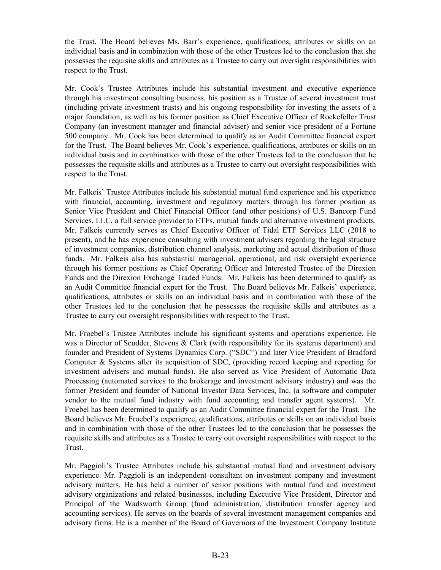the Trust. The Board believes Ms. Barr's experience, qualifications, attributes or skills on an individual basis and in combination with those of the other Trustees led to the conclusion that she possesses the requisite skills and attributes as a Trustee to carry out oversight responsibilities with respect to the Trust.

Mr. Cook's Trustee Attributes include his substantial investment and executive experience through his investment consulting business, his position as a Trustee of several investment trust (including private investment trusts) and his ongoing responsibility for investing the assets of a major foundation, as well as his former position as Chief Executive Officer of Rockefeller Trust Company (an investment manager and financial adviser) and senior vice president of a Fortune 500 company. Mr. Cook has been determined to qualify as an Audit Committee financial expert for the Trust. The Board believes Mr. Cook's experience, qualifications, attributes or skills on an individual basis and in combination with those of the other Trustees led to the conclusion that he possesses the requisite skills and attributes as a Trustee to carry out oversight responsibilities with respect to the Trust.

Mr. Falkeis' Trustee Attributes include his substantial mutual fund experience and his experience with financial, accounting, investment and regulatory matters through his former position as Senior Vice President and Chief Financial Officer (and other positions) of U.S. Bancorp Fund Services, LLC, a full service provider to ETFs, mutual funds and alternative investment products. Mr. Falkeis currently serves as Chief Executive Officer of Tidal ETF Services LLC (2018 to present), and he has experience consulting with investment advisers regarding the legal structure of investment companies, distribution channel analysis, marketing and actual distribution of those funds. Mr. Falkeis also has substantial managerial, operational, and risk oversight experience through his former positions as Chief Operating Officer and Interested Trustee of the Direxion Funds and the Direxion Exchange Traded Funds. Mr. Falkeis has been determined to qualify as an Audit Committee financial expert for the Trust. The Board believes Mr. Falkeis' experience, qualifications, attributes or skills on an individual basis and in combination with those of the other Trustees led to the conclusion that he possesses the requisite skills and attributes as a Trustee to carry out oversight responsibilities with respect to the Trust.

Mr. Froebel's Trustee Attributes include his significant systems and operations experience. He was a Director of Scudder, Stevens & Clark (with responsibility for its systems department) and founder and President of Systems Dynamics Corp. ("SDC") and later Vice President of Bradford Computer & Systems after its acquisition of SDC, (providing record keeping and reporting for investment advisers and mutual funds). He also served as Vice President of Automatic Data Processing (automated services to the brokerage and investment advisory industry) and was the former President and founder of National Investor Data Services, Inc. (a software and computer vendor to the mutual fund industry with fund accounting and transfer agent systems). Mr. Froebel has been determined to qualify as an Audit Committee financial expert for the Trust. The Board believes Mr. Froebel's experience, qualifications, attributes or skills on an individual basis and in combination with those of the other Trustees led to the conclusion that he possesses the requisite skills and attributes as a Trustee to carry out oversight responsibilities with respect to the Trust.

Mr. Paggioli's Trustee Attributes include his substantial mutual fund and investment advisory experience. Mr. Paggioli is an independent consultant on investment company and investment advisory matters. He has held a number of senior positions with mutual fund and investment advisory organizations and related businesses, including Executive Vice President, Director and Principal of the Wadsworth Group (fund administration, distribution transfer agency and accounting services). He serves on the boards of several investment management companies and advisory firms. He is a member of the Board of Governors of the Investment Company Institute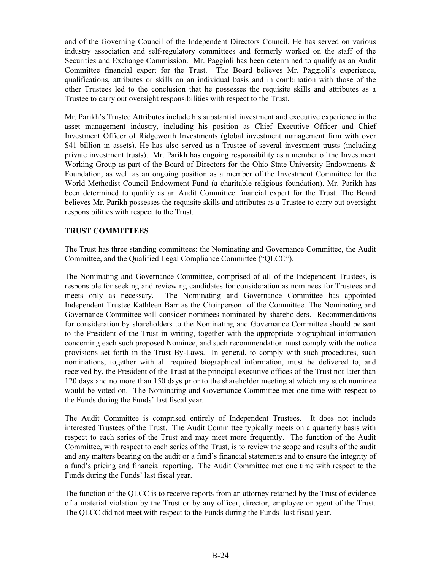and of the Governing Council of the Independent Directors Council. He has served on various industry association and self-regulatory committees and formerly worked on the staff of the Securities and Exchange Commission. Mr. Paggioli has been determined to qualify as an Audit Committee financial expert for the Trust. The Board believes Mr. Paggioli's experience, qualifications, attributes or skills on an individual basis and in combination with those of the other Trustees led to the conclusion that he possesses the requisite skills and attributes as a Trustee to carry out oversight responsibilities with respect to the Trust.

Mr. Parikh's Trustee Attributes include his substantial investment and executive experience in the asset management industry, including his position as Chief Executive Officer and Chief Investment Officer of Ridgeworth Investments (global investment management firm with over \$41 billion in assets). He has also served as a Trustee of several investment trusts (including private investment trusts). Mr. Parikh has ongoing responsibility as a member of the Investment Working Group as part of the Board of Directors for the Ohio State University Endowments & Foundation, as well as an ongoing position as a member of the Investment Committee for the World Methodist Council Endowment Fund (a charitable religious foundation). Mr. Parikh has been determined to qualify as an Audit Committee financial expert for the Trust. The Board believes Mr. Parikh possesses the requisite skills and attributes as a Trustee to carry out oversight responsibilities with respect to the Trust.

#### **TRUST COMMITTEES**

The Trust has three standing committees: the Nominating and Governance Committee, the Audit Committee, and the Qualified Legal Compliance Committee ("QLCC").

The Nominating and Governance Committee, comprised of all of the Independent Trustees, is responsible for seeking and reviewing candidates for consideration as nominees for Trustees and meets only as necessary. The Nominating and Governance Committee has appointed Independent Trustee Kathleen Barr as the Chairperson of the Committee. The Nominating and Governance Committee will consider nominees nominated by shareholders. Recommendations for consideration by shareholders to the Nominating and Governance Committee should be sent to the President of the Trust in writing, together with the appropriate biographical information concerning each such proposed Nominee, and such recommendation must comply with the notice provisions set forth in the Trust By-Laws. In general, to comply with such procedures, such nominations, together with all required biographical information, must be delivered to, and received by, the President of the Trust at the principal executive offices of the Trust not later than 120 days and no more than 150 days prior to the shareholder meeting at which any such nominee would be voted on. The Nominating and Governance Committee met one time with respect to the Funds during the Funds' last fiscal year.

The Audit Committee is comprised entirely of Independent Trustees. It does not include interested Trustees of the Trust. The Audit Committee typically meets on a quarterly basis with respect to each series of the Trust and may meet more frequently. The function of the Audit Committee, with respect to each series of the Trust, is to review the scope and results of the audit and any matters bearing on the audit or a fund's financial statements and to ensure the integrity of a fund's pricing and financial reporting. The Audit Committee met one time with respect to the Funds during the Funds' last fiscal year.

The function of the QLCC is to receive reports from an attorney retained by the Trust of evidence of a material violation by the Trust or by any officer, director, employee or agent of the Trust. The QLCC did not meet with respect to the Funds during the Funds' last fiscal year.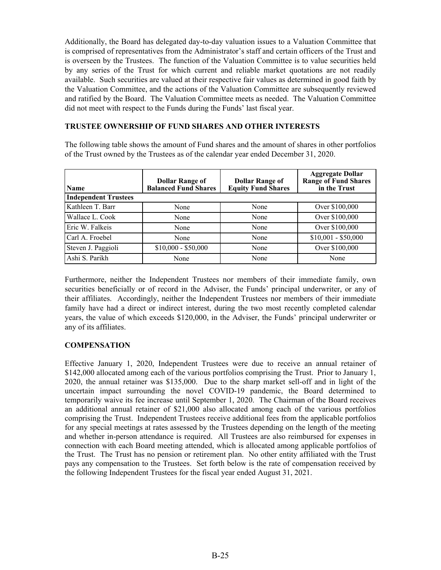Additionally, the Board has delegated day-to-day valuation issues to a Valuation Committee that is comprised of representatives from the Administrator's staff and certain officers of the Trust and is overseen by the Trustees. The function of the Valuation Committee is to value securities held by any series of the Trust for which current and reliable market quotations are not readily available. Such securities are valued at their respective fair values as determined in good faith by the Valuation Committee, and the actions of the Valuation Committee are subsequently reviewed and ratified by the Board. The Valuation Committee meets as needed. The Valuation Committee did not meet with respect to the Funds during the Funds' last fiscal year.

#### **TRUSTEE OWNERSHIP OF FUND SHARES AND OTHER INTERESTS**

The following table shows the amount of Fund shares and the amount of shares in other portfolios of the Trust owned by the Trustees as of the calendar year ended December 31, 2020.

| <b>Name</b>                 | <b>Dollar Range of</b><br><b>Balanced Fund Shares</b> | <b>Dollar Range of</b><br><b>Equity Fund Shares</b> | <b>Aggregate Dollar</b><br><b>Range of Fund Shares</b><br>in the Trust |
|-----------------------------|-------------------------------------------------------|-----------------------------------------------------|------------------------------------------------------------------------|
| <b>Independent Trustees</b> |                                                       |                                                     |                                                                        |
| Kathleen T. Barr            | None                                                  | None                                                | Over \$100,000                                                         |
| Wallace L. Cook             | None                                                  | None                                                | Over \$100,000                                                         |
| Eric W. Falkeis             | None                                                  | None                                                | Over \$100,000                                                         |
| Carl A. Froebel             | None                                                  | None                                                | $$10,001 - $50,000$                                                    |
| Steven J. Paggioli          | $$10,000 - $50,000$                                   | None                                                | Over \$100,000                                                         |
| Ashi S. Parikh              | None                                                  | None                                                | None                                                                   |

Furthermore, neither the Independent Trustees nor members of their immediate family, own securities beneficially or of record in the Adviser, the Funds' principal underwriter, or any of their affiliates. Accordingly, neither the Independent Trustees nor members of their immediate family have had a direct or indirect interest, during the two most recently completed calendar years, the value of which exceeds \$120,000, in the Adviser, the Funds' principal underwriter or any of its affiliates.

#### **COMPENSATION**

Effective January 1, 2020, Independent Trustees were due to receive an annual retainer of \$142,000 allocated among each of the various portfolios comprising the Trust. Prior to January 1, 2020, the annual retainer was \$135,000. Due to the sharp market sell-off and in light of the uncertain impact surrounding the novel COVID-19 pandemic, the Board determined to temporarily waive its fee increase until September 1, 2020. The Chairman of the Board receives an additional annual retainer of \$21,000 also allocated among each of the various portfolios comprising the Trust. Independent Trustees receive additional fees from the applicable portfolios for any special meetings at rates assessed by the Trustees depending on the length of the meeting and whether in-person attendance is required. All Trustees are also reimbursed for expenses in connection with each Board meeting attended, which is allocated among applicable portfolios of the Trust. The Trust has no pension or retirement plan. No other entity affiliated with the Trust pays any compensation to the Trustees. Set forth below is the rate of compensation received by the following Independent Trustees for the fiscal year ended August 31, 2021.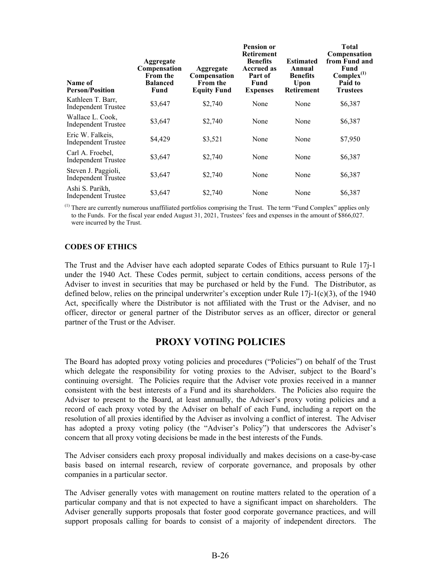<span id="page-29-0"></span>

| Name of<br><b>Person/Position</b>                 | Aggregate<br>Compensation<br><b>From the</b><br><b>Balanced</b><br>Fund | Aggregate<br>Compensation<br><b>From the</b><br><b>Equity Fund</b> | <b>Pension or</b><br><b>Retirement</b><br><b>Benefits</b><br><b>Accrued as</b><br>Part of<br>Fund<br><b>Expenses</b> | <b>Estimated</b><br>Annual<br><b>Benefits</b><br>Upon<br><b>Retirement</b> | <b>Total</b><br>Compensation<br>from Fund and<br>Fund<br>$Complex^{(1)}$<br>Paid to<br><b>Trustees</b> |
|---------------------------------------------------|-------------------------------------------------------------------------|--------------------------------------------------------------------|----------------------------------------------------------------------------------------------------------------------|----------------------------------------------------------------------------|--------------------------------------------------------------------------------------------------------|
| Kathleen T. Barr,<br><b>Independent Trustee</b>   | \$3,647                                                                 | \$2,740                                                            | None                                                                                                                 | None                                                                       | \$6,387                                                                                                |
| Wallace L. Cook,<br><b>Independent Trustee</b>    | \$3,647                                                                 | \$2,740                                                            | None                                                                                                                 | None                                                                       | \$6,387                                                                                                |
| Eric W. Falkeis,<br><b>Independent Trustee</b>    | \$4,429                                                                 | \$3,521                                                            | None                                                                                                                 | None                                                                       | \$7,950                                                                                                |
| Carl A. Froebel,<br><b>Independent Trustee</b>    | \$3,647                                                                 | \$2,740                                                            | None                                                                                                                 | None                                                                       | \$6,387                                                                                                |
| Steven J. Paggioli,<br><b>Independent Trustee</b> | \$3,647                                                                 | \$2,740                                                            | None                                                                                                                 | None                                                                       | \$6,387                                                                                                |
| Ashi S. Parikh,<br><b>Independent Trustee</b>     | \$3,647                                                                 | \$2,740                                                            | None                                                                                                                 | None                                                                       | \$6,387                                                                                                |

 $<sup>(1)</sup>$  There are currently numerous unaffiliated portfolios comprising the Trust. The term "Fund Complex" applies only</sup> to the Funds. For the fiscal year ended August 31, 2021, Trustees' fees and expenses in the amount of \$866,027. were incurred by the Trust.

#### **CODES OF ETHICS**

The Trust and the Adviser have each adopted separate Codes of Ethics pursuant to Rule 17j-1 under the 1940 Act. These Codes permit, subject to certain conditions, access persons of the Adviser to invest in securities that may be purchased or held by the Fund. The Distributor, as defined below, relies on the principal underwriter's exception under Rule  $17j-1(c)(3)$ , of the 1940 Act, specifically where the Distributor is not affiliated with the Trust or the Adviser, and no officer, director or general partner of the Distributor serves as an officer, director or general partner of the Trust or the Adviser.

## **PROXY VOTING POLICIES**

The Board has adopted proxy voting policies and procedures ("Policies") on behalf of the Trust which delegate the responsibility for voting proxies to the Adviser, subject to the Board's continuing oversight. The Policies require that the Adviser vote proxies received in a manner consistent with the best interests of a Fund and its shareholders. The Policies also require the Adviser to present to the Board, at least annually, the Adviser's proxy voting policies and a record of each proxy voted by the Adviser on behalf of each Fund, including a report on the resolution of all proxies identified by the Adviser as involving a conflict of interest. The Adviser has adopted a proxy voting policy (the "Adviser's Policy") that underscores the Adviser's concern that all proxy voting decisions be made in the best interests of the Funds.

The Adviser considers each proxy proposal individually and makes decisions on a case-by-case basis based on internal research, review of corporate governance, and proposals by other companies in a particular sector.

The Adviser generally votes with management on routine matters related to the operation of a particular company and that is not expected to have a significant impact on shareholders. The Adviser generally supports proposals that foster good corporate governance practices, and will support proposals calling for boards to consist of a majority of independent directors. The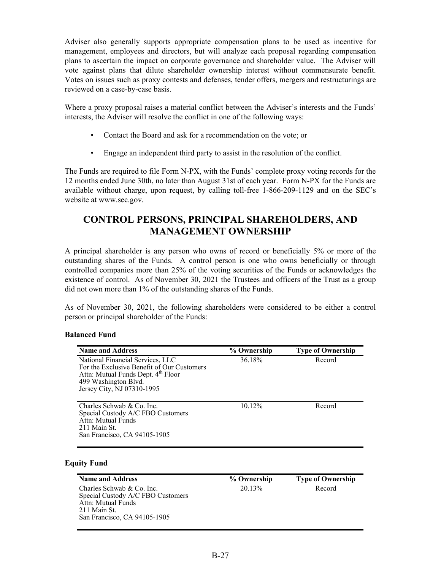<span id="page-30-0"></span>Adviser also generally supports appropriate compensation plans to be used as incentive for management, employees and directors, but will analyze each proposal regarding compensation plans to ascertain the impact on corporate governance and shareholder value. The Adviser will vote against plans that dilute shareholder ownership interest without commensurate benefit. Votes on issues such as proxy contests and defenses, tender offers, mergers and restructurings are reviewed on a case-by-case basis.

Where a proxy proposal raises a material conflict between the Adviser's interests and the Funds' interests, the Adviser will resolve the conflict in one of the following ways:

- Contact the Board and ask for a recommendation on the vote; or
- Engage an independent third party to assist in the resolution of the conflict.

The Funds are required to file Form N-PX, with the Funds' complete proxy voting records for the 12 months ended June 30th, no later than August 31st of each year. Form N-PX for the Funds are available without charge, upon request, by calling toll-free 1-866-209-1129 and on the SEC's website at www.sec.gov.

# **CONTROL PERSONS, PRINCIPAL SHAREHOLDERS, AND MANAGEMENT OWNERSHIP**

A principal shareholder is any person who owns of record or beneficially 5% or more of the outstanding shares of the Funds. A control person is one who owns beneficially or through controlled companies more than 25% of the voting securities of the Funds or acknowledges the existence of control. As of November 30, 2021 the Trustees and officers of the Trust as a group did not own more than 1% of the outstanding shares of the Funds.

As of November 30, 2021, the following shareholders were considered to be either a control person or principal shareholder of the Funds:

#### **Balanced Fund**

| <b>Name and Address</b>                                                                                                                                                                | % Ownership | <b>Type of Ownership</b> |
|----------------------------------------------------------------------------------------------------------------------------------------------------------------------------------------|-------------|--------------------------|
| National Financial Services, LLC<br>For the Exclusive Benefit of Our Customers<br>Attn: Mutual Funds Dept. 4 <sup>th</sup> Floor<br>499 Washington Blvd.<br>Jersey City, NJ 07310-1995 | 36.18%      | Record                   |
| Charles Schwab & Co. Inc.<br>Special Custody A/C FBO Customers<br>Attn: Mutual Funds<br>211 Main St.<br>San Francisco, CA 94105-1905                                                   | 10.12%      | Record                   |

#### **Equity Fund**

| <b>Name and Address</b>           | % Ownership | <b>Type of Ownership</b> |
|-----------------------------------|-------------|--------------------------|
| Charles Schwab & Co. Inc.         | 20.13%      | Record                   |
| Special Custody A/C FBO Customers |             |                          |
| Attn: Mutual Funds                |             |                          |
| 211 Main St.                      |             |                          |
| San Francisco, CA 94105-1905      |             |                          |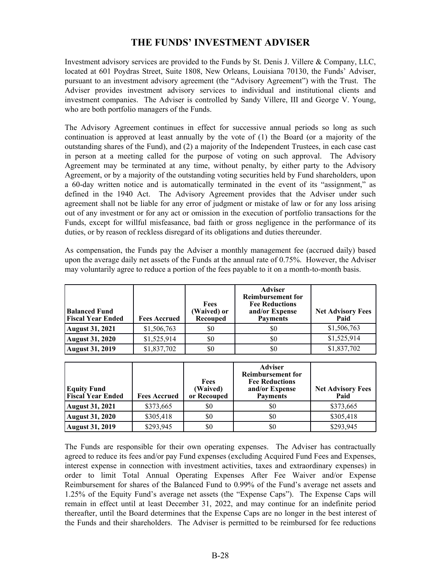# **THE FUNDS' INVESTMENT ADVISER**

<span id="page-31-0"></span>Investment advisory services are provided to the Funds by St. Denis J. Villere & Company, LLC, located at 601 Poydras Street, Suite 1808, New Orleans, Louisiana 70130, the Funds' Adviser, pursuant to an investment advisory agreement (the "Advisory Agreement") with the Trust. The Adviser provides investment advisory services to individual and institutional clients and investment companies. The Adviser is controlled by Sandy Villere, III and George V. Young, who are both portfolio managers of the Funds.

The Advisory Agreement continues in effect for successive annual periods so long as such continuation is approved at least annually by the vote of (1) the Board (or a majority of the outstanding shares of the Fund), and (2) a majority of the Independent Trustees, in each case cast in person at a meeting called for the purpose of voting on such approval. The Advisory Agreement may be terminated at any time, without penalty, by either party to the Advisory Agreement, or by a majority of the outstanding voting securities held by Fund shareholders, upon a 60-day written notice and is automatically terminated in the event of its "assignment," as defined in the 1940 Act. The Advisory Agreement provides that the Adviser under such agreement shall not be liable for any error of judgment or mistake of law or for any loss arising out of any investment or for any act or omission in the execution of portfolio transactions for the Funds, except for willful misfeasance, bad faith or gross negligence in the performance of its duties, or by reason of reckless disregard of its obligations and duties thereunder.

As compensation, the Funds pay the Adviser a monthly management fee (accrued daily) based upon the average daily net assets of the Funds at the annual rate of 0.75%. However, the Adviser may voluntarily agree to reduce a portion of the fees payable to it on a month-to-month basis.

| <b>Balanced Fund</b><br><b>Fiscal Year Ended</b> | <b>Fees Accrued</b> | Fees<br>(Waived) or<br>Recouped | <b>Adviser</b><br><b>Reimbursement for</b><br><b>Fee Reductions</b><br>and/or Expense<br><b>Payments</b> | <b>Net Advisory Fees</b><br>Paid |
|--------------------------------------------------|---------------------|---------------------------------|----------------------------------------------------------------------------------------------------------|----------------------------------|
| August 31, 2021                                  | \$1,506,763         | \$0                             | \$0                                                                                                      | \$1,506,763                      |
| August 31, 2020                                  | \$1,525,914         | \$0                             | \$0                                                                                                      | \$1,525,914                      |
| <b>August 31, 2019</b>                           | \$1,837,702         | \$0                             | \$0                                                                                                      | \$1,837,702                      |

| <b>Equity Fund</b><br><b>Fiscal Year Ended</b> | <b>Fees Accrued</b> | Fees<br>(Waived)<br>or Recouped | <b>Adviser</b><br><b>Reimbursement for</b><br><b>Fee Reductions</b><br>and/or Expense<br><b>Payments</b> | <b>Net Advisory Fees</b><br>Paid |
|------------------------------------------------|---------------------|---------------------------------|----------------------------------------------------------------------------------------------------------|----------------------------------|
| August 31, 2021                                | \$373,665           | \$0                             | \$0                                                                                                      | \$373,665                        |
| August 31, 2020                                | \$305,418           | \$0                             | \$0                                                                                                      | \$305,418                        |
| August 31, 2019                                | \$293,945           | \$0                             | \$0                                                                                                      | \$293,945                        |

The Funds are responsible for their own operating expenses. The Adviser has contractually agreed to reduce its fees and/or pay Fund expenses (excluding Acquired Fund Fees and Expenses, interest expense in connection with investment activities, taxes and extraordinary expenses) in order to limit Total Annual Operating Expenses After Fee Waiver and/or Expense Reimbursement for shares of the Balanced Fund to 0.99% of the Fund's average net assets and 1.25% of the Equity Fund's average net assets (the "Expense Caps"). The Expense Caps will remain in effect until at least December 31, 2022, and may continue for an indefinite period thereafter, until the Board determines that the Expense Caps are no longer in the best interest of the Funds and their shareholders. The Adviser is permitted to be reimbursed for fee reductions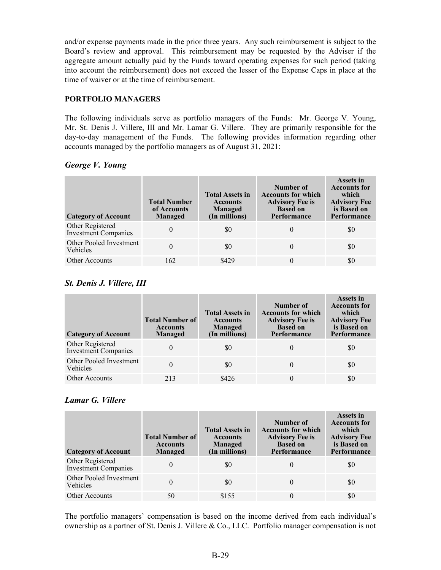and/or expense payments made in the prior three years. Any such reimbursement is subject to the Board's review and approval. This reimbursement may be requested by the Adviser if the aggregate amount actually paid by the Funds toward operating expenses for such period (taking into account the reimbursement) does not exceed the lesser of the Expense Caps in place at the time of waiver or at the time of reimbursement.

#### **PORTFOLIO MANAGERS**

The following individuals serve as portfolio managers of the Funds: Mr. George V. Young, Mr. St. Denis J. Villere, III and Mr. Lamar G. Villere. They are primarily responsible for the day-to-day management of the Funds. The following provides information regarding other accounts managed by the portfolio managers as of August 31, 2021:

#### *George V. Young*

| <b>Category of Account</b>                      | <b>Total Number</b><br>of Accounts<br>Managed | <b>Total Assets in</b><br><b>Accounts</b><br>Managed<br>(In millions) | Number of<br><b>Accounts for which</b><br><b>Advisory Fee is</b><br><b>Based on</b><br>Performance | <b>Assets in</b><br><b>Accounts for</b><br>which<br><b>Advisory Fee</b><br>is Based on<br>Performance |
|-------------------------------------------------|-----------------------------------------------|-----------------------------------------------------------------------|----------------------------------------------------------------------------------------------------|-------------------------------------------------------------------------------------------------------|
| Other Registered<br><b>Investment Companies</b> | $\theta$                                      | \$0                                                                   |                                                                                                    | SO.                                                                                                   |
| Other Pooled Investment<br>Vehicles             | 0                                             | \$0                                                                   |                                                                                                    | \$0                                                                                                   |
| <b>Other Accounts</b>                           | 162                                           | \$429                                                                 |                                                                                                    | \$0                                                                                                   |

### *St. Denis J. Villere, III*

| <b>Category of Account</b>                      | <b>Total Number of</b><br><b>Accounts</b><br>Managed | <b>Total Assets in</b><br><b>Accounts</b><br>Managed<br>(In millions) | Number of<br><b>Accounts for which</b><br><b>Advisory Fee is</b><br><b>Based on</b><br>Performance | <b>Assets in</b><br><b>Accounts for</b><br>which<br><b>Advisory Fee</b><br>is Based on<br>Performance |
|-------------------------------------------------|------------------------------------------------------|-----------------------------------------------------------------------|----------------------------------------------------------------------------------------------------|-------------------------------------------------------------------------------------------------------|
| Other Registered<br><b>Investment Companies</b> | 0                                                    | \$0                                                                   |                                                                                                    | SO.                                                                                                   |
| Other Pooled Investment<br>Vehicles             | 0                                                    | \$0                                                                   | $\theta$                                                                                           | \$0                                                                                                   |
| <b>Other Accounts</b>                           | 213                                                  | \$426                                                                 |                                                                                                    | \$0                                                                                                   |

## *Lamar G. Villere*

| <b>Category of Account</b>                      | <b>Total Number of</b><br><b>Accounts</b><br>Managed | <b>Total Assets in</b><br><b>Accounts</b><br>Managed<br>(In millions) | Number of<br><b>Accounts for which</b><br><b>Advisory Fee is</b><br><b>Based on</b><br>Performance | <b>Assets in</b><br><b>Accounts for</b><br>which<br><b>Advisory Fee</b><br>is Based on<br><b>Performance</b> |
|-------------------------------------------------|------------------------------------------------------|-----------------------------------------------------------------------|----------------------------------------------------------------------------------------------------|--------------------------------------------------------------------------------------------------------------|
| Other Registered<br><b>Investment Companies</b> | 0                                                    | \$0                                                                   |                                                                                                    | SO.                                                                                                          |
| Other Pooled Investment<br>Vehicles             | 0                                                    | \$0                                                                   |                                                                                                    | \$0                                                                                                          |
| <b>Other Accounts</b>                           | 50                                                   | \$155                                                                 |                                                                                                    | \$0                                                                                                          |

The portfolio managers' compensation is based on the income derived from each individual's ownership as a partner of St. Denis J. Villere & Co., LLC. Portfolio manager compensation is not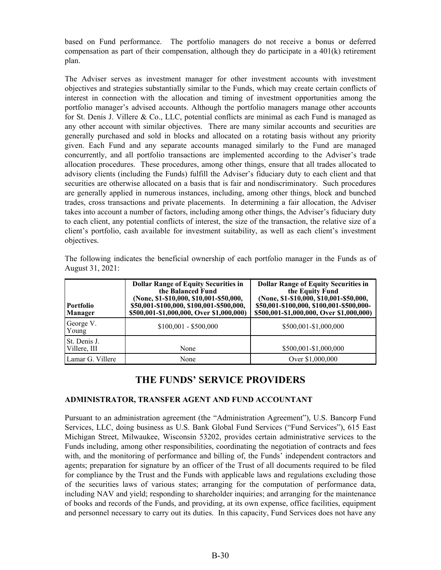<span id="page-33-0"></span>based on Fund performance. The portfolio managers do not receive a bonus or deferred compensation as part of their compensation, although they do participate in a 401(k) retirement plan.

The Adviser serves as investment manager for other investment accounts with investment objectives and strategies substantially similar to the Funds, which may create certain conflicts of interest in connection with the allocation and timing of investment opportunities among the portfolio manager's advised accounts. Although the portfolio managers manage other accounts for St. Denis J. Villere & Co., LLC, potential conflicts are minimal as each Fund is managed as any other account with similar objectives. There are many similar accounts and securities are generally purchased and sold in blocks and allocated on a rotating basis without any priority given. Each Fund and any separate accounts managed similarly to the Fund are managed concurrently, and all portfolio transactions are implemented according to the Adviser's trade allocation procedures. These procedures, among other things, ensure that all trades allocated to advisory clients (including the Funds) fulfill the Adviser's fiduciary duty to each client and that securities are otherwise allocated on a basis that is fair and nondiscriminatory. Such procedures are generally applied in numerous instances, including, among other things, block and bunched trades, cross transactions and private placements. In determining a fair allocation, the Adviser takes into account a number of factors, including among other things, the Adviser's fiduciary duty to each client, any potential conflicts of interest, the size of the transaction, the relative size of a client's portfolio, cash available for investment suitability, as well as each client's investment objectives.

| <b>Portfolio</b><br>  Manager | <b>Dollar Range of Equity Securities in</b><br>the Balanced Fund<br>(None, \$1-\$10,000, \$10,001-\$50,000,<br>\$50,001-\$100,000, \$100,001-\$500,000,<br>\$500,001-\$1,000,000, Over \$1,000,000) | <b>Dollar Range of Equity Securities in</b><br>the Equity Fund<br>(None, \$1-\$10,000, \$10,001-\$50,000,<br>\$50,001-\$100,000, \$100,001-\$500,000-<br>\$500,001-\$1,000,000, Over \$1,000,000) |
|-------------------------------|-----------------------------------------------------------------------------------------------------------------------------------------------------------------------------------------------------|---------------------------------------------------------------------------------------------------------------------------------------------------------------------------------------------------|
| George V.<br>Young            | $$100,001 - $500,000$                                                                                                                                                                               | \$500,001-\$1,000,000                                                                                                                                                                             |
| St. Denis J.<br>Villere, III  | None                                                                                                                                                                                                | \$500,001-\$1,000,000                                                                                                                                                                             |
| Lamar G. Villere              | None                                                                                                                                                                                                | Over \$1,000,000                                                                                                                                                                                  |

The following indicates the beneficial ownership of each portfolio manager in the Funds as of August 31, 2021:

## **THE FUNDS' SERVICE PROVIDERS**

#### **ADMINISTRATOR, TRANSFER AGENT AND FUND ACCOUNTANT**

Pursuant to an administration agreement (the "Administration Agreement"), U.S. Bancorp Fund Services, LLC, doing business as U.S. Bank Global Fund Services ("Fund Services"), 615 East Michigan Street, Milwaukee, Wisconsin 53202, provides certain administrative services to the Funds including, among other responsibilities, coordinating the negotiation of contracts and fees with, and the monitoring of performance and billing of, the Funds' independent contractors and agents; preparation for signature by an officer of the Trust of all documents required to be filed for compliance by the Trust and the Funds with applicable laws and regulations excluding those of the securities laws of various states; arranging for the computation of performance data, including NAV and yield; responding to shareholder inquiries; and arranging for the maintenance of books and records of the Funds, and providing, at its own expense, office facilities, equipment and personnel necessary to carry out its duties. In this capacity, Fund Services does not have any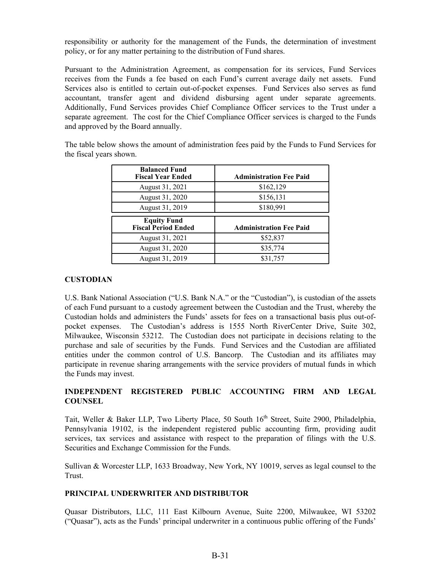responsibility or authority for the management of the Funds, the determination of investment policy, or for any matter pertaining to the distribution of Fund shares.

Pursuant to the Administration Agreement, as compensation for its services, Fund Services receives from the Funds a fee based on each Fund's current average daily net assets. Fund Services also is entitled to certain out-of-pocket expenses. Fund Services also serves as fund accountant, transfer agent and dividend disbursing agent under separate agreements. Additionally, Fund Services provides Chief Compliance Officer services to the Trust under a separate agreement. The cost for the Chief Compliance Officer services is charged to the Funds and approved by the Board annually.

The table below shows the amount of administration fees paid by the Funds to Fund Services for the fiscal years shown.

| <b>Balanced Fund</b><br><b>Fiscal Year Ended</b> | <b>Administration Fee Paid</b> |
|--------------------------------------------------|--------------------------------|
| August 31, 2021                                  | \$162,129                      |
| August 31, 2020                                  | \$156,131                      |
| August 31, 2019                                  | \$180,991                      |
|                                                  |                                |
| <b>Equity Fund</b><br><b>Fiscal Period Ended</b> | <b>Administration Fee Paid</b> |
| August 31, 2021                                  | \$52,837                       |
| August 31, 2020                                  | \$35,774                       |

#### **CUSTODIAN**

U.S. Bank National Association ("U.S. Bank N.A." or the "Custodian"), is custodian of the assets of each Fund pursuant to a custody agreement between the Custodian and the Trust, whereby the Custodian holds and administers the Funds' assets for fees on a transactional basis plus out-ofpocket expenses. The Custodian's address is 1555 North RiverCenter Drive, Suite 302, Milwaukee, Wisconsin 53212. The Custodian does not participate in decisions relating to the purchase and sale of securities by the Funds. Fund Services and the Custodian are affiliated entities under the common control of U.S. Bancorp. The Custodian and its affiliates may participate in revenue sharing arrangements with the service providers of mutual funds in which the Funds may invest.

#### **INDEPENDENT REGISTERED PUBLIC ACCOUNTING FIRM AND LEGAL COUNSEL**

Tait, Weller & Baker LLP, Two Liberty Place, 50 South 16<sup>th</sup> Street, Suite 2900, Philadelphia, Pennsylvania 19102, is the independent registered public accounting firm, providing audit services, tax services and assistance with respect to the preparation of filings with the U.S. Securities and Exchange Commission for the Funds.

Sullivan & Worcester LLP, 1633 Broadway, New York, NY 10019, serves as legal counsel to the Trust.

#### **PRINCIPAL UNDERWRITER AND DISTRIBUTOR**

Quasar Distributors, LLC, 111 East Kilbourn Avenue, Suite 2200, Milwaukee, WI 53202 ("Quasar"), acts as the Funds' principal underwriter in a continuous public offering of the Funds'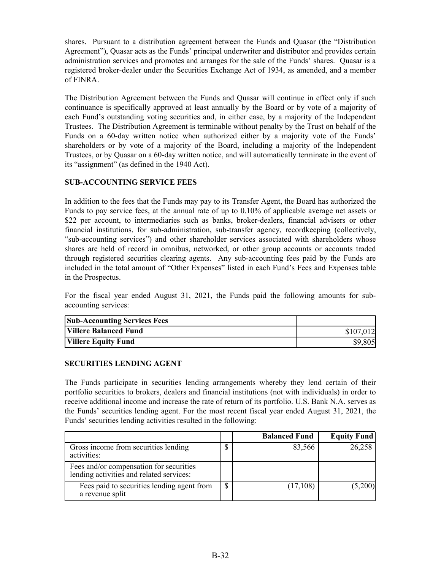shares. Pursuant to a distribution agreement between the Funds and Quasar (the "Distribution Agreement"), Quasar acts as the Funds' principal underwriter and distributor and provides certain administration services and promotes and arranges for the sale of the Funds' shares. Quasar is a registered broker-dealer under the Securities Exchange Act of 1934, as amended, and a member of FINRA.

The Distribution Agreement between the Funds and Quasar will continue in effect only if such continuance is specifically approved at least annually by the Board or by vote of a majority of each Fund's outstanding voting securities and, in either case, by a majority of the Independent Trustees. The Distribution Agreement is terminable without penalty by the Trust on behalf of the Funds on a 60-day written notice when authorized either by a majority vote of the Funds' shareholders or by vote of a majority of the Board, including a majority of the Independent Trustees, or by Quasar on a 60-day written notice, and will automatically terminate in the event of its "assignment" (as defined in the 1940 Act).

#### **SUB-ACCOUNTING SERVICE FEES**

In addition to the fees that the Funds may pay to its Transfer Agent, the Board has authorized the Funds to pay service fees, at the annual rate of up to 0.10% of applicable average net assets or \$22 per account, to intermediaries such as banks, broker-dealers, financial advisers or other financial institutions, for sub-administration, sub-transfer agency, recordkeeping (collectively, "sub-accounting services") and other shareholder services associated with shareholders whose shares are held of record in omnibus, networked, or other group accounts or accounts traded through registered securities clearing agents. Any sub-accounting fees paid by the Funds are included in the total amount of "Other Expenses" listed in each Fund's Fees and Expenses table in the Prospectus.

For the fiscal year ended August 31, 2021, the Funds paid the following amounts for subaccounting services:

| <b>Sub-Accounting Services Fees</b> |           |
|-------------------------------------|-----------|
| <b>Villere Balanced Fund</b>        | \$107,012 |
| <b>Villere Equity Fund</b>          | \$9,805   |

#### **SECURITIES LENDING AGENT**

The Funds participate in securities lending arrangements whereby they lend certain of their portfolio securities to brokers, dealers and financial institutions (not with individuals) in order to receive additional income and increase the rate of return of its portfolio. U.S. Bank N.A. serves as the Funds' securities lending agent. For the most recent fiscal year ended August 31, 2021, the Funds' securities lending activities resulted in the following:

|                                                                                     |        | <b>Balanced Fund</b> | <b>Equity Fund</b> |
|-------------------------------------------------------------------------------------|--------|----------------------|--------------------|
| Gross income from securities lending<br>activities:                                 | ⋔<br>Φ | 83,566               | 26,258             |
| Fees and/or compensation for securities<br>lending activities and related services: |        |                      |                    |
| Fees paid to securities lending agent from<br>a revenue split                       | ¢      | (17,108)             | (5,200)            |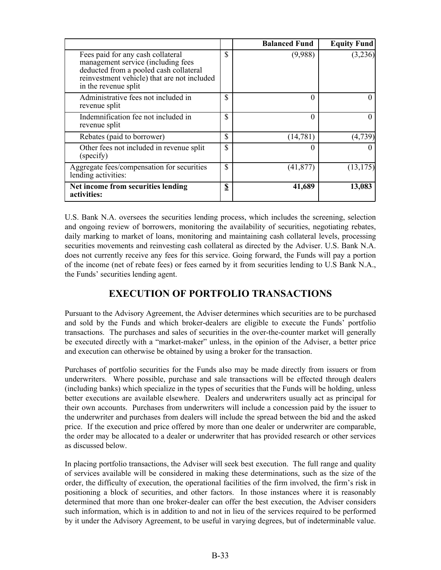<span id="page-36-0"></span>

|                                                                                                                                                                                          |                        | <b>Balanced Fund</b> | <b>Equity Fund</b> |
|------------------------------------------------------------------------------------------------------------------------------------------------------------------------------------------|------------------------|----------------------|--------------------|
| Fees paid for any cash collateral<br>management service (including fees<br>deducted from a pooled cash collateral<br>reinvestment vehicle) that are not included<br>in the revenue split | $\mathbb{S}$           | (9,988)              | (3,236)            |
| Administrative fees not included in<br>revenue split                                                                                                                                     | \$                     | 0                    |                    |
| Indemnification fee not included in<br>revenue split                                                                                                                                     | $\mathbb{S}$           | 0                    | 0                  |
| Rebates (paid to borrower)                                                                                                                                                               | \$                     | (14, 781)            | (4, 739)           |
| Other fees not included in revenue split<br>(specify)                                                                                                                                    | \$                     | 0                    |                    |
| Aggregate fees/compensation for securities<br>lending activities:                                                                                                                        | $\mathbb{S}$           | (41, 877)            | (13, 175)          |
| Net income from securities lending<br>activities:                                                                                                                                        | $\mathbf{\mathcal{L}}$ | 41,689               | 13,083             |

U.S. Bank N.A. oversees the securities lending process, which includes the screening, selection and ongoing review of borrowers, monitoring the availability of securities, negotiating rebates, daily marking to market of loans, monitoring and maintaining cash collateral levels, processing securities movements and reinvesting cash collateral as directed by the Adviser. U.S. Bank N.A. does not currently receive any fees for this service. Going forward, the Funds will pay a portion of the income (net of rebate fees) or fees earned by it from securities lending to U.S Bank N.A., the Funds' securities lending agent.

# **EXECUTION OF PORTFOLIO TRANSACTIONS**

Pursuant to the Advisory Agreement, the Adviser determines which securities are to be purchased and sold by the Funds and which broker-dealers are eligible to execute the Funds' portfolio transactions. The purchases and sales of securities in the over-the-counter market will generally be executed directly with a "market-maker" unless, in the opinion of the Adviser, a better price and execution can otherwise be obtained by using a broker for the transaction.

Purchases of portfolio securities for the Funds also may be made directly from issuers or from underwriters. Where possible, purchase and sale transactions will be effected through dealers (including banks) which specialize in the types of securities that the Funds will be holding, unless better executions are available elsewhere. Dealers and underwriters usually act as principal for their own accounts. Purchases from underwriters will include a concession paid by the issuer to the underwriter and purchases from dealers will include the spread between the bid and the asked price. If the execution and price offered by more than one dealer or underwriter are comparable, the order may be allocated to a dealer or underwriter that has provided research or other services as discussed below.

In placing portfolio transactions, the Adviser will seek best execution. The full range and quality of services available will be considered in making these determinations, such as the size of the order, the difficulty of execution, the operational facilities of the firm involved, the firm's risk in positioning a block of securities, and other factors. In those instances where it is reasonably determined that more than one broker-dealer can offer the best execution, the Adviser considers such information, which is in addition to and not in lieu of the services required to be performed by it under the Advisory Agreement, to be useful in varying degrees, but of indeterminable value.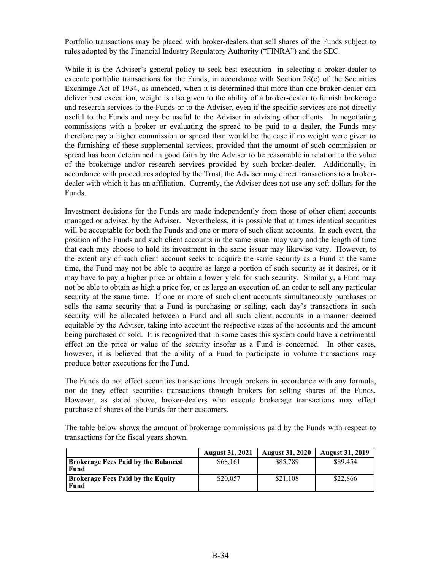Portfolio transactions may be placed with broker-dealers that sell shares of the Funds subject to rules adopted by the Financial Industry Regulatory Authority ("FINRA") and the SEC.

While it is the Adviser's general policy to seek best execution in selecting a broker-dealer to execute portfolio transactions for the Funds, in accordance with Section 28(e) of the Securities Exchange Act of 1934, as amended, when it is determined that more than one broker-dealer can deliver best execution, weight is also given to the ability of a broker-dealer to furnish brokerage and research services to the Funds or to the Adviser, even if the specific services are not directly useful to the Funds and may be useful to the Adviser in advising other clients. In negotiating commissions with a broker or evaluating the spread to be paid to a dealer, the Funds may therefore pay a higher commission or spread than would be the case if no weight were given to the furnishing of these supplemental services, provided that the amount of such commission or spread has been determined in good faith by the Adviser to be reasonable in relation to the value of the brokerage and/or research services provided by such broker-dealer. Additionally, in accordance with procedures adopted by the Trust, the Adviser may direct transactions to a brokerdealer with which it has an affiliation. Currently, the Adviser does not use any soft dollars for the Funds.

Investment decisions for the Funds are made independently from those of other client accounts managed or advised by the Adviser. Nevertheless, it is possible that at times identical securities will be acceptable for both the Funds and one or more of such client accounts. In such event, the position of the Funds and such client accounts in the same issuer may vary and the length of time that each may choose to hold its investment in the same issuer may likewise vary. However, to the extent any of such client account seeks to acquire the same security as a Fund at the same time, the Fund may not be able to acquire as large a portion of such security as it desires, or it may have to pay a higher price or obtain a lower yield for such security. Similarly, a Fund may not be able to obtain as high a price for, or as large an execution of, an order to sell any particular security at the same time. If one or more of such client accounts simultaneously purchases or sells the same security that a Fund is purchasing or selling, each day's transactions in such security will be allocated between a Fund and all such client accounts in a manner deemed equitable by the Adviser, taking into account the respective sizes of the accounts and the amount being purchased or sold. It is recognized that in some cases this system could have a detrimental effect on the price or value of the security insofar as a Fund is concerned. In other cases, however, it is believed that the ability of a Fund to participate in volume transactions may produce better executions for the Fund.

The Funds do not effect securities transactions through brokers in accordance with any formula, nor do they effect securities transactions through brokers for selling shares of the Funds. However, as stated above, broker-dealers who execute brokerage transactions may effect purchase of shares of the Funds for their customers.

The table below shows the amount of brokerage commissions paid by the Funds with respect to transactions for the fiscal years shown.

|                                                  | <b>August 31, 2021</b> | <b>August 31, 2020</b> | <b>August 31, 2019</b> |
|--------------------------------------------------|------------------------|------------------------|------------------------|
| Brokerage Fees Paid by the Balanced<br>Fund      | \$68.161               | \$85,789               | \$89,454               |
| <b>Brokerage Fees Paid by the Equity</b><br>Fund | \$20,057               | \$21.108               | \$22,866               |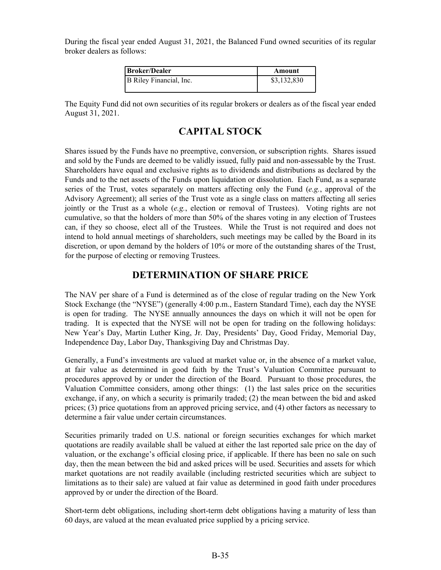<span id="page-38-0"></span>During the fiscal year ended August 31, 2021, the Balanced Fund owned securities of its regular broker dealers as follows:

| Broker/Dealer           | Amount      |
|-------------------------|-------------|
| B Riley Financial, Inc. | \$3,132,830 |

The Equity Fund did not own securities of its regular brokers or dealers as of the fiscal year ended August 31, 2021.

# **CAPITAL STOCK**

Shares issued by the Funds have no preemptive, conversion, or subscription rights. Shares issued and sold by the Funds are deemed to be validly issued, fully paid and non-assessable by the Trust. Shareholders have equal and exclusive rights as to dividends and distributions as declared by the Funds and to the net assets of the Funds upon liquidation or dissolution. Each Fund, as a separate series of the Trust, votes separately on matters affecting only the Fund (*e.g.*, approval of the Advisory Agreement); all series of the Trust vote as a single class on matters affecting all series jointly or the Trust as a whole (*e.g.*, election or removal of Trustees). Voting rights are not cumulative, so that the holders of more than 50% of the shares voting in any election of Trustees can, if they so choose, elect all of the Trustees. While the Trust is not required and does not intend to hold annual meetings of shareholders, such meetings may be called by the Board in its discretion, or upon demand by the holders of 10% or more of the outstanding shares of the Trust, for the purpose of electing or removing Trustees.

## **DETERMINATION OF SHARE PRICE**

The NAV per share of a Fund is determined as of the close of regular trading on the New York Stock Exchange (the "NYSE") (generally 4:00 p.m., Eastern Standard Time), each day the NYSE is open for trading. The NYSE annually announces the days on which it will not be open for trading. It is expected that the NYSE will not be open for trading on the following holidays: New Year's Day, Martin Luther King, Jr. Day, Presidents' Day, Good Friday, Memorial Day, Independence Day, Labor Day, Thanksgiving Day and Christmas Day.

Generally, a Fund's investments are valued at market value or, in the absence of a market value, at fair value as determined in good faith by the Trust's Valuation Committee pursuant to procedures approved by or under the direction of the Board. Pursuant to those procedures, the Valuation Committee considers, among other things: (1) the last sales price on the securities exchange, if any, on which a security is primarily traded; (2) the mean between the bid and asked prices; (3) price quotations from an approved pricing service, and (4) other factors as necessary to determine a fair value under certain circumstances.

Securities primarily traded on U.S. national or foreign securities exchanges for which market quotations are readily available shall be valued at either the last reported sale price on the day of valuation, or the exchange's official closing price, if applicable. If there has been no sale on such day, then the mean between the bid and asked prices will be used. Securities and assets for which market quotations are not readily available (including restricted securities which are subject to limitations as to their sale) are valued at fair value as determined in good faith under procedures approved by or under the direction of the Board.

Short-term debt obligations, including short-term debt obligations having a maturity of less than 60 days, are valued at the mean evaluated price supplied by a pricing service.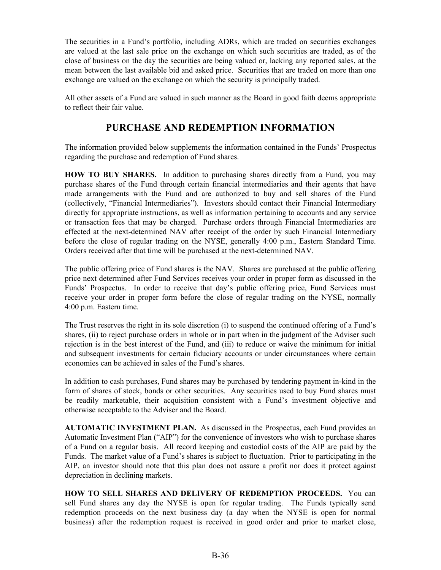<span id="page-39-0"></span>The securities in a Fund's portfolio, including ADRs, which are traded on securities exchanges are valued at the last sale price on the exchange on which such securities are traded, as of the close of business on the day the securities are being valued or, lacking any reported sales, at the mean between the last available bid and asked price. Securities that are traded on more than one exchange are valued on the exchange on which the security is principally traded.

All other assets of a Fund are valued in such manner as the Board in good faith deems appropriate to reflect their fair value.

# **PURCHASE AND REDEMPTION INFORMATION**

The information provided below supplements the information contained in the Funds' Prospectus regarding the purchase and redemption of Fund shares.

**HOW TO BUY SHARES.** In addition to purchasing shares directly from a Fund, you may purchase shares of the Fund through certain financial intermediaries and their agents that have made arrangements with the Fund and are authorized to buy and sell shares of the Fund (collectively, "Financial Intermediaries"). Investors should contact their Financial Intermediary directly for appropriate instructions, as well as information pertaining to accounts and any service or transaction fees that may be charged. Purchase orders through Financial Intermediaries are effected at the next-determined NAV after receipt of the order by such Financial Intermediary before the close of regular trading on the NYSE, generally 4:00 p.m., Eastern Standard Time. Orders received after that time will be purchased at the next-determined NAV.

The public offering price of Fund shares is the NAV. Shares are purchased at the public offering price next determined after Fund Services receives your order in proper form as discussed in the Funds' Prospectus. In order to receive that day's public offering price, Fund Services must receive your order in proper form before the close of regular trading on the NYSE, normally 4:00 p.m. Eastern time.

The Trust reserves the right in its sole discretion (i) to suspend the continued offering of a Fund's shares, (ii) to reject purchase orders in whole or in part when in the judgment of the Adviser such rejection is in the best interest of the Fund, and (iii) to reduce or waive the minimum for initial and subsequent investments for certain fiduciary accounts or under circumstances where certain economies can be achieved in sales of the Fund's shares.

In addition to cash purchases, Fund shares may be purchased by tendering payment in-kind in the form of shares of stock, bonds or other securities. Any securities used to buy Fund shares must be readily marketable, their acquisition consistent with a Fund's investment objective and otherwise acceptable to the Adviser and the Board.

**AUTOMATIC INVESTMENT PLAN.** As discussed in the Prospectus, each Fund provides an Automatic Investment Plan ("AIP") for the convenience of investors who wish to purchase shares of a Fund on a regular basis. All record keeping and custodial costs of the AIP are paid by the Funds. The market value of a Fund's shares is subject to fluctuation. Prior to participating in the AIP, an investor should note that this plan does not assure a profit nor does it protect against depreciation in declining markets.

**HOW TO SELL SHARES AND DELIVERY OF REDEMPTION PROCEEDS.** You can sell Fund shares any day the NYSE is open for regular trading. The Funds typically send redemption proceeds on the next business day (a day when the NYSE is open for normal business) after the redemption request is received in good order and prior to market close,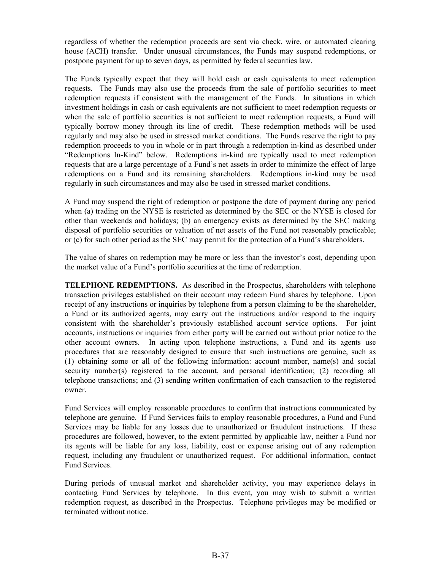regardless of whether the redemption proceeds are sent via check, wire, or automated clearing house (ACH) transfer. Under unusual circumstances, the Funds may suspend redemptions, or postpone payment for up to seven days, as permitted by federal securities law.

The Funds typically expect that they will hold cash or cash equivalents to meet redemption requests. The Funds may also use the proceeds from the sale of portfolio securities to meet redemption requests if consistent with the management of the Funds. In situations in which investment holdings in cash or cash equivalents are not sufficient to meet redemption requests or when the sale of portfolio securities is not sufficient to meet redemption requests, a Fund will typically borrow money through its line of credit. These redemption methods will be used regularly and may also be used in stressed market conditions. The Funds reserve the right to pay redemption proceeds to you in whole or in part through a redemption in-kind as described under "Redemptions In-Kind" below. Redemptions in-kind are typically used to meet redemption requests that are a large percentage of a Fund's net assets in order to minimize the effect of large redemptions on a Fund and its remaining shareholders. Redemptions in-kind may be used regularly in such circumstances and may also be used in stressed market conditions.

A Fund may suspend the right of redemption or postpone the date of payment during any period when (a) trading on the NYSE is restricted as determined by the SEC or the NYSE is closed for other than weekends and holidays; (b) an emergency exists as determined by the SEC making disposal of portfolio securities or valuation of net assets of the Fund not reasonably practicable; or (c) for such other period as the SEC may permit for the protection of a Fund's shareholders.

The value of shares on redemption may be more or less than the investor's cost, depending upon the market value of a Fund's portfolio securities at the time of redemption.

**TELEPHONE REDEMPTIONS.** As described in the Prospectus, shareholders with telephone transaction privileges established on their account may redeem Fund shares by telephone. Upon receipt of any instructions or inquiries by telephone from a person claiming to be the shareholder, a Fund or its authorized agents, may carry out the instructions and/or respond to the inquiry consistent with the shareholder's previously established account service options. For joint accounts, instructions or inquiries from either party will be carried out without prior notice to the other account owners. In acting upon telephone instructions, a Fund and its agents use procedures that are reasonably designed to ensure that such instructions are genuine, such as (1) obtaining some or all of the following information: account number, name(s) and social security number(s) registered to the account, and personal identification; (2) recording all telephone transactions; and (3) sending written confirmation of each transaction to the registered owner.

Fund Services will employ reasonable procedures to confirm that instructions communicated by telephone are genuine. If Fund Services fails to employ reasonable procedures, a Fund and Fund Services may be liable for any losses due to unauthorized or fraudulent instructions. If these procedures are followed, however, to the extent permitted by applicable law, neither a Fund nor its agents will be liable for any loss, liability, cost or expense arising out of any redemption request, including any fraudulent or unauthorized request. For additional information, contact Fund Services.

During periods of unusual market and shareholder activity, you may experience delays in contacting Fund Services by telephone. In this event, you may wish to submit a written redemption request, as described in the Prospectus. Telephone privileges may be modified or terminated without notice.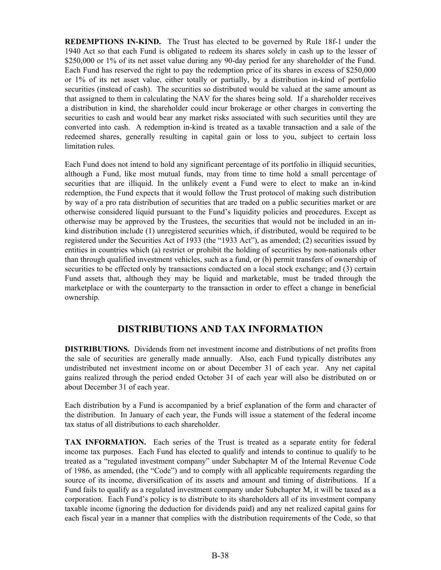<span id="page-41-0"></span>**REDEMPTIONS IN-KIND.** The Trust has elected to be governed by Rule 18f-1 under the 1940 Act so that each Fund is obligated to redeem its shares solely in cash up to the lesser of \$250,000 or 1% of its net asset value during any 90-day period for any shareholder of the Fund. Each Fund has reserved the right to pay the redemption price of its shares in excess of \$250,000 or 1% of its net asset value, either totally or partially, by a distribution in-kind of portfolio securities (instead of cash). The securities so distributed would be valued at the same amount as that assigned to them in calculating the NAV for the shares being sold. If a shareholder receives a distribution in kind, the shareholder could incur brokerage or other charges in converting the securities to cash and would bear any market risks associated with such securities until they are converted into cash. A redemption in-kind is treated as a taxable transaction and a sale of the redeemed shares, generally resulting in capital gain or loss to you, subject to certain loss limitation rules.

Each Fund does not intend to hold any significant percentage of its portfolio in illiquid securities, although a Fund, like most mutual funds, may from time to time hold a small percentage of securities that are illiquid. In the unlikely event a Fund were to elect to make an in-kind redemption, the Fund expects that it would follow the Trust protocol of making such distribution by way of a pro rata distribution of securities that are traded on a public securities market or are otherwise considered liquid pursuant to the Fund's liquidity policies and procedures. Except as otherwise may be approved by the Trustees, the securities that would not be included in an inkind distribution include (1) unregistered securities which, if distributed, would be required to be registered under the Securities Act of 1933 (the "1933 Act"), as amended; (2) securities issued by entities in countries which (a) restrict or prohibit the holding of securities by non-nationals other than through qualified investment vehicles, such as a fund, or (b) permit transfers of ownership of securities to be effected only by transactions conducted on a local stock exchange; and (3) certain Fund assets that, although they may be liquid and marketable, must be traded through the marketplace or with the counterparty to the transaction in order to effect a change in beneficial ownership.

# **DISTRIBUTIONS AND TAX INFORMATION**

**DISTRIBUTIONS.** Dividends from net investment income and distributions of net profits from the sale of securities are generally made annually. Also, each Fund typically distributes any undistributed net investment income on or about December 31 of each year. Any net capital gains realized through the period ended October 31 of each year will also be distributed on or about December 31 of each year.

Each distribution by a Fund is accompanied by a brief explanation of the form and character of the distribution. In January of each year, the Funds will issue a statement of the federal income tax status of all distributions to each shareholder.

**TAX INFORMATION.** Each series of the Trust is treated as a separate entity for federal income tax purposes. Each Fund has elected to qualify and intends to continue to qualify to be treated as a "regulated investment company" under Subchapter M of the Internal Revenue Code of 1986, as amended, (the "Code") and to comply with all applicable requirements regarding the source of its income, diversification of its assets and amount and timing of distributions. If a Fund fails to qualify as a regulated investment company under Subchapter M, it will be taxed as a corporation. Each Fund's policy is to distribute to its shareholders all of its investment company taxable income (ignoring the deduction for dividends paid) and any net realized capital gains for each fiscal year in a manner that complies with the distribution requirements of the Code, so that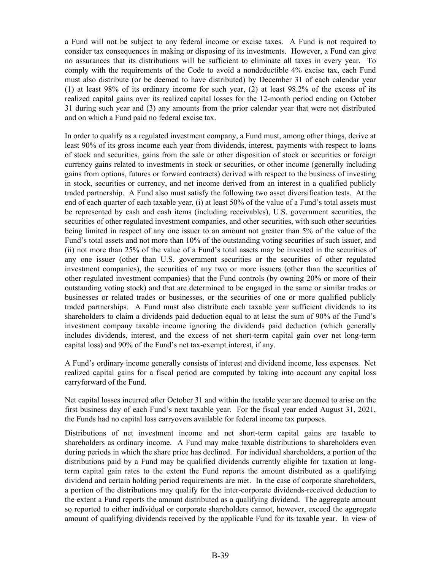a Fund will not be subject to any federal income or excise taxes. A Fund is not required to consider tax consequences in making or disposing of its investments. However, a Fund can give no assurances that its distributions will be sufficient to eliminate all taxes in every year. To comply with the requirements of the Code to avoid a nondeductible 4% excise tax, each Fund must also distribute (or be deemed to have distributed) by December 31 of each calendar year (1) at least 98% of its ordinary income for such year, (2) at least 98.2% of the excess of its realized capital gains over its realized capital losses for the 12-month period ending on October 31 during such year and (3) any amounts from the prior calendar year that were not distributed and on which a Fund paid no federal excise tax.

In order to qualify as a regulated investment company, a Fund must, among other things, derive at least 90% of its gross income each year from dividends, interest, payments with respect to loans of stock and securities, gains from the sale or other disposition of stock or securities or foreign currency gains related to investments in stock or securities, or other income (generally including gains from options, futures or forward contracts) derived with respect to the business of investing in stock, securities or currency, and net income derived from an interest in a qualified publicly traded partnership. A Fund also must satisfy the following two asset diversification tests. At the end of each quarter of each taxable year, (i) at least 50% of the value of a Fund's total assets must be represented by cash and cash items (including receivables), U.S. government securities, the securities of other regulated investment companies, and other securities, with such other securities being limited in respect of any one issuer to an amount not greater than 5% of the value of the Fund's total assets and not more than 10% of the outstanding voting securities of such issuer, and (ii) not more than 25% of the value of a Fund's total assets may be invested in the securities of any one issuer (other than U.S. government securities or the securities of other regulated investment companies), the securities of any two or more issuers (other than the securities of other regulated investment companies) that the Fund controls (by owning 20% or more of their outstanding voting stock) and that are determined to be engaged in the same or similar trades or businesses or related trades or businesses, or the securities of one or more qualified publicly traded partnerships. A Fund must also distribute each taxable year sufficient dividends to its shareholders to claim a dividends paid deduction equal to at least the sum of 90% of the Fund's investment company taxable income ignoring the dividends paid deduction (which generally includes dividends, interest, and the excess of net short-term capital gain over net long-term capital loss) and 90% of the Fund's net tax-exempt interest, if any.

A Fund's ordinary income generally consists of interest and dividend income, less expenses. Net realized capital gains for a fiscal period are computed by taking into account any capital loss carryforward of the Fund.

Net capital losses incurred after October 31 and within the taxable year are deemed to arise on the first business day of each Fund's next taxable year. For the fiscal year ended August 31, 2021, the Funds had no capital loss carryovers available for federal income tax purposes.

Distributions of net investment income and net short-term capital gains are taxable to shareholders as ordinary income. A Fund may make taxable distributions to shareholders even during periods in which the share price has declined. For individual shareholders, a portion of the distributions paid by a Fund may be qualified dividends currently eligible for taxation at longterm capital gain rates to the extent the Fund reports the amount distributed as a qualifying dividend and certain holding period requirements are met. In the case of corporate shareholders, a portion of the distributions may qualify for the inter-corporate dividends-received deduction to the extent a Fund reports the amount distributed as a qualifying dividend. The aggregate amount so reported to either individual or corporate shareholders cannot, however, exceed the aggregate amount of qualifying dividends received by the applicable Fund for its taxable year. In view of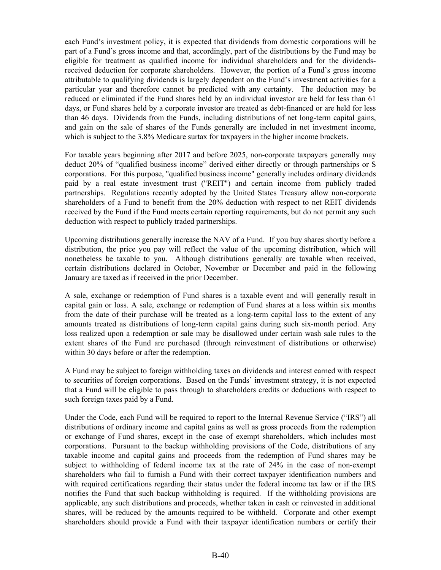each Fund's investment policy, it is expected that dividends from domestic corporations will be part of a Fund's gross income and that, accordingly, part of the distributions by the Fund may be eligible for treatment as qualified income for individual shareholders and for the dividendsreceived deduction for corporate shareholders. However, the portion of a Fund's gross income attributable to qualifying dividends is largely dependent on the Fund's investment activities for a particular year and therefore cannot be predicted with any certainty. The deduction may be reduced or eliminated if the Fund shares held by an individual investor are held for less than 61 days, or Fund shares held by a corporate investor are treated as debt-financed or are held for less than 46 days. Dividends from the Funds, including distributions of net long-term capital gains, and gain on the sale of shares of the Funds generally are included in net investment income, which is subject to the 3.8% Medicare surtax for taxpayers in the higher income brackets.

For taxable years beginning after 2017 and before 2025, non-corporate taxpayers generally may deduct 20% of "qualified business income" derived either directly or through partnerships or S corporations. For this purpose, "qualified business income" generally includes ordinary dividends paid by a real estate investment trust ("REIT") and certain income from publicly traded partnerships. Regulations recently adopted by the United States Treasury allow non-corporate shareholders of a Fund to benefit from the 20% deduction with respect to net REIT dividends received by the Fund if the Fund meets certain reporting requirements, but do not permit any such deduction with respect to publicly traded partnerships.

Upcoming distributions generally increase the NAV of a Fund. If you buy shares shortly before a distribution, the price you pay will reflect the value of the upcoming distribution, which will nonetheless be taxable to you. Although distributions generally are taxable when received, certain distributions declared in October, November or December and paid in the following January are taxed as if received in the prior December.

A sale, exchange or redemption of Fund shares is a taxable event and will generally result in capital gain or loss. A sale, exchange or redemption of Fund shares at a loss within six months from the date of their purchase will be treated as a long-term capital loss to the extent of any amounts treated as distributions of long-term capital gains during such six-month period. Any loss realized upon a redemption or sale may be disallowed under certain wash sale rules to the extent shares of the Fund are purchased (through reinvestment of distributions or otherwise) within 30 days before or after the redemption.

A Fund may be subject to foreign withholding taxes on dividends and interest earned with respect to securities of foreign corporations. Based on the Funds' investment strategy, it is not expected that a Fund will be eligible to pass through to shareholders credits or deductions with respect to such foreign taxes paid by a Fund.

Under the Code, each Fund will be required to report to the Internal Revenue Service ("IRS") all distributions of ordinary income and capital gains as well as gross proceeds from the redemption or exchange of Fund shares, except in the case of exempt shareholders, which includes most corporations. Pursuant to the backup withholding provisions of the Code, distributions of any taxable income and capital gains and proceeds from the redemption of Fund shares may be subject to withholding of federal income tax at the rate of 24% in the case of non-exempt shareholders who fail to furnish a Fund with their correct taxpayer identification numbers and with required certifications regarding their status under the federal income tax law or if the IRS notifies the Fund that such backup withholding is required. If the withholding provisions are applicable, any such distributions and proceeds, whether taken in cash or reinvested in additional shares, will be reduced by the amounts required to be withheld. Corporate and other exempt shareholders should provide a Fund with their taxpayer identification numbers or certify their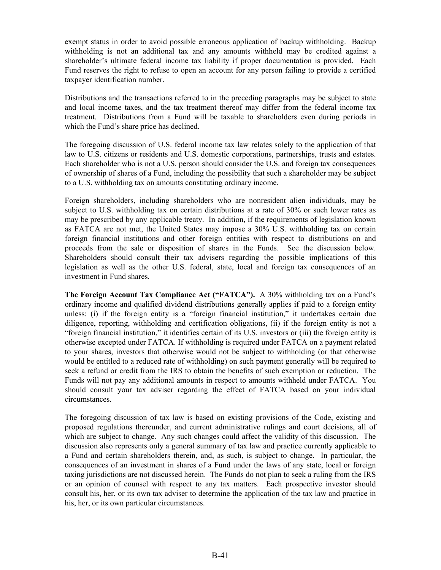exempt status in order to avoid possible erroneous application of backup withholding. Backup withholding is not an additional tax and any amounts withheld may be credited against a shareholder's ultimate federal income tax liability if proper documentation is provided. Each Fund reserves the right to refuse to open an account for any person failing to provide a certified taxpayer identification number.

Distributions and the transactions referred to in the preceding paragraphs may be subject to state and local income taxes, and the tax treatment thereof may differ from the federal income tax treatment. Distributions from a Fund will be taxable to shareholders even during periods in which the Fund's share price has declined.

The foregoing discussion of U.S. federal income tax law relates solely to the application of that law to U.S. citizens or residents and U.S. domestic corporations, partnerships, trusts and estates. Each shareholder who is not a U.S. person should consider the U.S. and foreign tax consequences of ownership of shares of a Fund, including the possibility that such a shareholder may be subject to a U.S. withholding tax on amounts constituting ordinary income.

Foreign shareholders, including shareholders who are nonresident alien individuals, may be subject to U.S. withholding tax on certain distributions at a rate of 30% or such lower rates as may be prescribed by any applicable treaty. In addition, if the requirements of legislation known as FATCA are not met, the United States may impose a 30% U.S. withholding tax on certain foreign financial institutions and other foreign entities with respect to distributions on and proceeds from the sale or disposition of shares in the Funds. See the discussion below. Shareholders should consult their tax advisers regarding the possible implications of this legislation as well as the other U.S. federal, state, local and foreign tax consequences of an investment in Fund shares.

**The Foreign Account Tax Compliance Act ("FATCA").** A 30% withholding tax on a Fund's ordinary income and qualified dividend distributions generally applies if paid to a foreign entity unless: (i) if the foreign entity is a "foreign financial institution," it undertakes certain due diligence, reporting, withholding and certification obligations, (ii) if the foreign entity is not a "foreign financial institution," it identifies certain of its U.S. investors or (iii) the foreign entity is otherwise excepted under FATCA. If withholding is required under FATCA on a payment related to your shares, investors that otherwise would not be subject to withholding (or that otherwise would be entitled to a reduced rate of withholding) on such payment generally will be required to seek a refund or credit from the IRS to obtain the benefits of such exemption or reduction. The Funds will not pay any additional amounts in respect to amounts withheld under FATCA. You should consult your tax adviser regarding the effect of FATCA based on your individual circumstances.

The foregoing discussion of tax law is based on existing provisions of the Code, existing and proposed regulations thereunder, and current administrative rulings and court decisions, all of which are subject to change. Any such changes could affect the validity of this discussion. The discussion also represents only a general summary of tax law and practice currently applicable to a Fund and certain shareholders therein, and, as such, is subject to change. In particular, the consequences of an investment in shares of a Fund under the laws of any state, local or foreign taxing jurisdictions are not discussed herein. The Funds do not plan to seek a ruling from the IRS or an opinion of counsel with respect to any tax matters. Each prospective investor should consult his, her, or its own tax adviser to determine the application of the tax law and practice in his, her, or its own particular circumstances.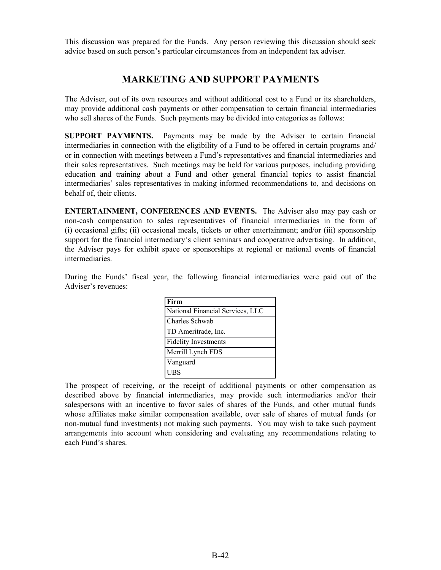<span id="page-45-0"></span>This discussion was prepared for the Funds. Any person reviewing this discussion should seek advice based on such person's particular circumstances from an independent tax adviser.

## **MARKETING AND SUPPORT PAYMENTS**

The Adviser, out of its own resources and without additional cost to a Fund or its shareholders, may provide additional cash payments or other compensation to certain financial intermediaries who sell shares of the Funds. Such payments may be divided into categories as follows:

**SUPPORT PAYMENTS.** Payments may be made by the Adviser to certain financial intermediaries in connection with the eligibility of a Fund to be offered in certain programs and/ or in connection with meetings between a Fund's representatives and financial intermediaries and their sales representatives. Such meetings may be held for various purposes, including providing education and training about a Fund and other general financial topics to assist financial intermediaries' sales representatives in making informed recommendations to, and decisions on behalf of, their clients.

**ENTERTAINMENT, CONFERENCES AND EVENTS.** The Adviser also may pay cash or non-cash compensation to sales representatives of financial intermediaries in the form of (i) occasional gifts; (ii) occasional meals, tickets or other entertainment; and/or (iii) sponsorship support for the financial intermediary's client seminars and cooperative advertising. In addition, the Adviser pays for exhibit space or sponsorships at regional or national events of financial intermediaries.

During the Funds' fiscal year, the following financial intermediaries were paid out of the Adviser's revenues:

| Firm                             |
|----------------------------------|
| National Financial Services, LLC |
| Charles Schwab                   |
| TD Ameritrade, Inc.              |
| Fidelity Investments             |
| Merrill Lynch FDS                |
| Vanguard                         |
| UBS                              |

The prospect of receiving, or the receipt of additional payments or other compensation as described above by financial intermediaries, may provide such intermediaries and/or their salespersons with an incentive to favor sales of shares of the Funds, and other mutual funds whose affiliates make similar compensation available, over sale of shares of mutual funds (or non-mutual fund investments) not making such payments. You may wish to take such payment arrangements into account when considering and evaluating any recommendations relating to each Fund's shares.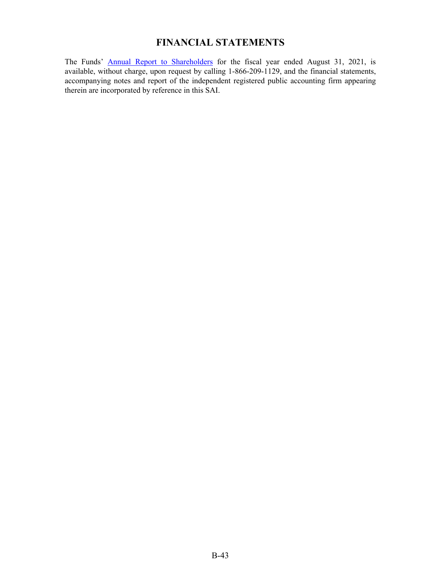# **FINANCIAL STATEMENTS**

<span id="page-46-0"></span>The Funds' [Annual Report to Shareholde](https://www.sec.gov/Archives/edgar/data/811030/000089853121000498/villere-ncsra.htm)rs for the fiscal year ended August 31, 2021, is available, without charge, upon request by calling 1-866-209-1129, and the financial statements, accompanying notes and report of the independent registered public accounting firm appearing therein are incorporated by reference in this SAI.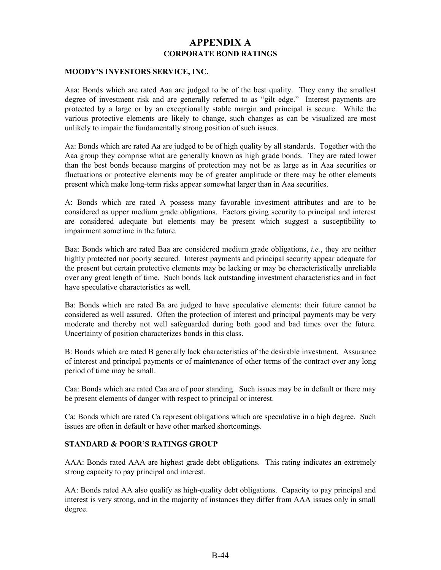## **APPENDIX A CORPORATE BOND RATINGS**

#### <span id="page-47-0"></span>**MOODY'S INVESTORS SERVICE, INC.**

Aaa: Bonds which are rated Aaa are judged to be of the best quality. They carry the smallest degree of investment risk and are generally referred to as "gilt edge." Interest payments are protected by a large or by an exceptionally stable margin and principal is secure. While the various protective elements are likely to change, such changes as can be visualized are most unlikely to impair the fundamentally strong position of such issues.

Aa: Bonds which are rated Aa are judged to be of high quality by all standards. Together with the Aaa group they comprise what are generally known as high grade bonds. They are rated lower than the best bonds because margins of protection may not be as large as in Aaa securities or fluctuations or protective elements may be of greater amplitude or there may be other elements present which make long-term risks appear somewhat larger than in Aaa securities.

A: Bonds which are rated A possess many favorable investment attributes and are to be considered as upper medium grade obligations. Factors giving security to principal and interest are considered adequate but elements may be present which suggest a susceptibility to impairment sometime in the future.

Baa: Bonds which are rated Baa are considered medium grade obligations, *i.e.*, they are neither highly protected nor poorly secured. Interest payments and principal security appear adequate for the present but certain protective elements may be lacking or may be characteristically unreliable over any great length of time. Such bonds lack outstanding investment characteristics and in fact have speculative characteristics as well.

Ba: Bonds which are rated Ba are judged to have speculative elements: their future cannot be considered as well assured. Often the protection of interest and principal payments may be very moderate and thereby not well safeguarded during both good and bad times over the future. Uncertainty of position characterizes bonds in this class.

B: Bonds which are rated B generally lack characteristics of the desirable investment. Assurance of interest and principal payments or of maintenance of other terms of the contract over any long period of time may be small.

Caa: Bonds which are rated Caa are of poor standing. Such issues may be in default or there may be present elements of danger with respect to principal or interest.

Ca: Bonds which are rated Ca represent obligations which are speculative in a high degree. Such issues are often in default or have other marked shortcomings.

#### **STANDARD & POOR'S RATINGS GROUP**

AAA: Bonds rated AAA are highest grade debt obligations. This rating indicates an extremely strong capacity to pay principal and interest.

AA: Bonds rated AA also qualify as high-quality debt obligations. Capacity to pay principal and interest is very strong, and in the majority of instances they differ from AAA issues only in small degree.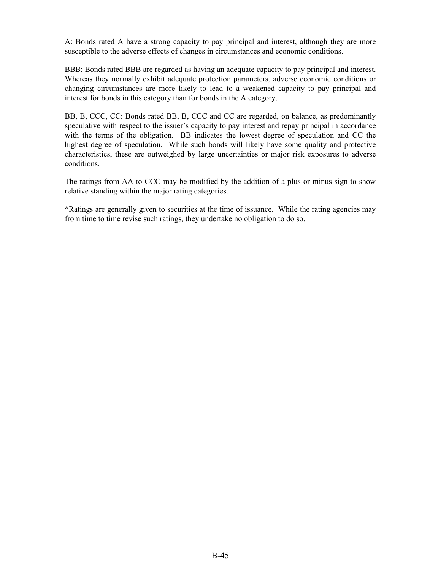A: Bonds rated A have a strong capacity to pay principal and interest, although they are more susceptible to the adverse effects of changes in circumstances and economic conditions.

BBB: Bonds rated BBB are regarded as having an adequate capacity to pay principal and interest. Whereas they normally exhibit adequate protection parameters, adverse economic conditions or changing circumstances are more likely to lead to a weakened capacity to pay principal and interest for bonds in this category than for bonds in the A category.

BB, B, CCC, CC: Bonds rated BB, B, CCC and CC are regarded, on balance, as predominantly speculative with respect to the issuer's capacity to pay interest and repay principal in accordance with the terms of the obligation. BB indicates the lowest degree of speculation and CC the highest degree of speculation. While such bonds will likely have some quality and protective characteristics, these are outweighed by large uncertainties or major risk exposures to adverse conditions.

The ratings from AA to CCC may be modified by the addition of a plus or minus sign to show relative standing within the major rating categories.

\*Ratings are generally given to securities at the time of issuance. While the rating agencies may from time to time revise such ratings, they undertake no obligation to do so.